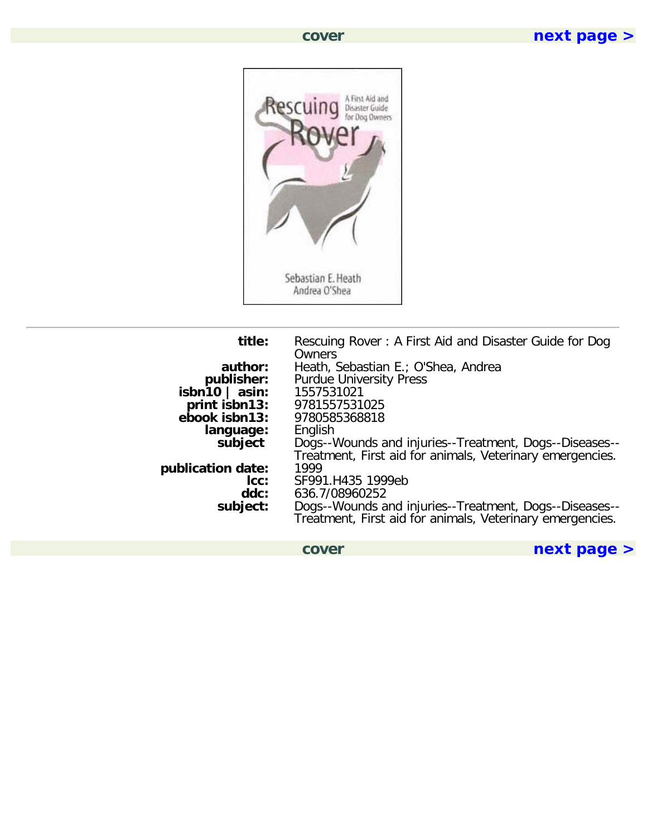<span id="page-0-0"></span>

| title:                                                                      | Rescuing Rover: A First Aid and Disaster Guide for Dog<br>Owners                                                               |
|-----------------------------------------------------------------------------|--------------------------------------------------------------------------------------------------------------------------------|
| author:<br>publisher:<br>$isbn10$   asin:<br>print isbn13:<br>ebook isbn13: | Heath, Sebastian E.; O'Shea, Andrea<br><b>Purdue University Press</b><br>1557531021<br>9781557531025<br>9780585368818          |
| language:<br>subject                                                        | English<br>Dogs--Wounds and injuries--Treatment, Dogs--Diseases--<br>Treatment, First aid for animals, Veterinary emergencies. |
| publication date:<br>$lcc$ :<br>$ddc$ :<br>subject:                         | 1999<br>SF991.H435 1999eb<br>636.7/08960252<br>Dogs--Wounds and injuries--Treatment, Dogs--Diseases--                          |
|                                                                             | Treatment, First aid for animals, Veterinary emergencies.                                                                      |

**cover [next page >](#page-1-0)**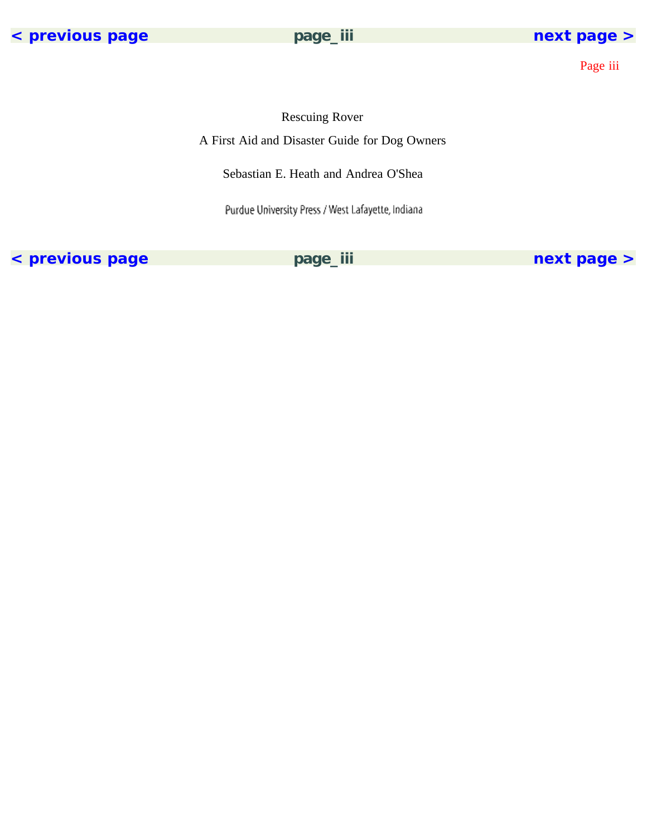Page iii

### Rescuing Rover

<span id="page-1-0"></span>A First Aid and Disaster Guide for Dog Owners

Sebastian E. Heath and Andrea O'Shea

Purdue University Press / West Lafayette, Indiana

**[< previous page](#page-0-0) page\_iii [next page >](#page-2-0)**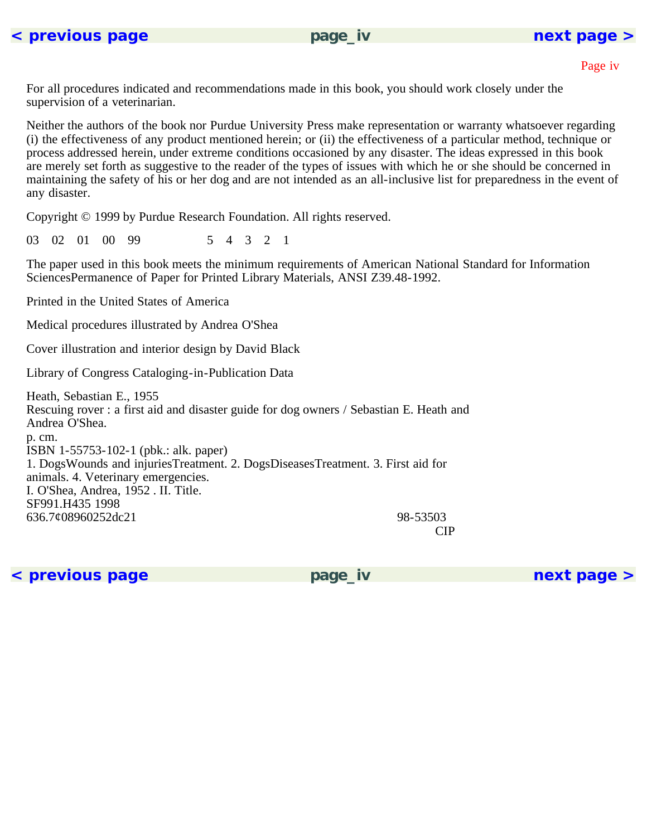### <span id="page-2-0"></span>**[< previous page](#page-1-0) page\_iv [next page >](#page-3-0)**

For all procedures indicated and recommendations made in this book, you should work closely under the supervision of a veterinarian.

Neither the authors of the book nor Purdue University Press make representation or warranty whatsoever regarding (i) the effectiveness of any product mentioned herein; or (ii) the effectiveness of a particular method, technique or process addressed herein, under extreme conditions occasioned by any disaster. The ideas expressed in this book are merely set forth as suggestive to the reader of the types of issues with which he or she should be concerned in maintaining the safety of his or her dog and are not intended as an all-inclusive list for preparedness in the event of any disaster.

Copyright © 1999 by Purdue Research Foundation. All rights reserved.

03 02 01 00 99 5 4 3 2 1

The paper used in this book meets the minimum requirements of American National Standard for Information SciencesPermanence of Paper for Printed Library Materials, ANSI Z39.48-1992.

Printed in the United States of America

Medical procedures illustrated by Andrea O'Shea

Cover illustration and interior design by David Black

Library of Congress Cataloging-in-Publication Data

Heath, Sebastian E., 1955 Rescuing rover : a first aid and disaster guide for dog owners / Sebastian E. Heath and Andrea O'Shea. p. cm. ISBN 1-55753-102-1 (pbk.: alk. paper) 1. DogsWounds and injuriesTreatment. 2. DogsDiseasesTreatment. 3. First aid for animals. 4. Veterinary emergencies. I. O'Shea, Andrea, 1952 . II. Title. SF991.H435 1998 636.7¢08960252dc21 98-53503 CIP

**[< previous page](#page-1-0) page\_iv [next page >](#page-3-0)**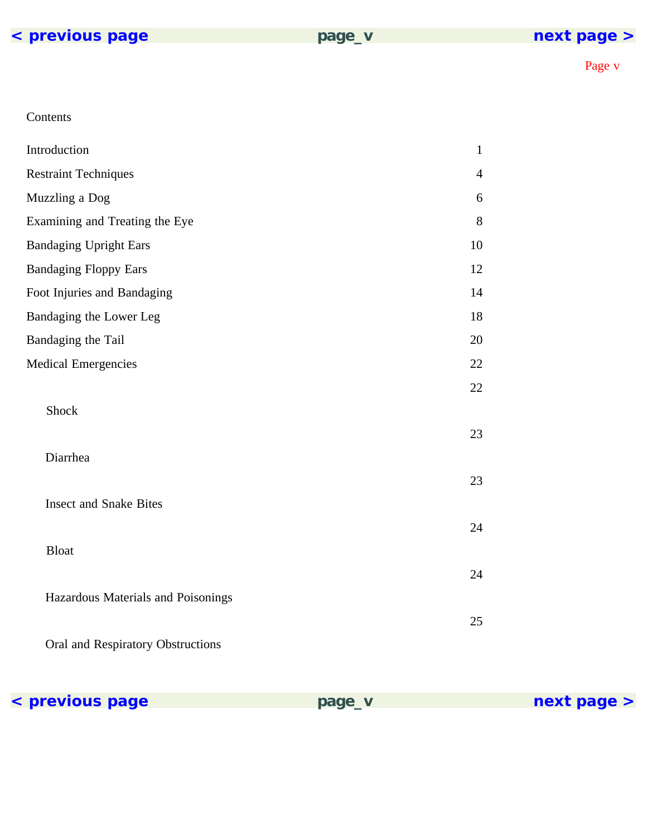| Contents                           |                |
|------------------------------------|----------------|
| Introduction                       | $\mathbf{1}$   |
| <b>Restraint Techniques</b>        | $\overline{4}$ |
| Muzzling a Dog                     | 6              |
| Examining and Treating the Eye     | $8\,$          |
| <b>Bandaging Upright Ears</b>      | 10             |
| <b>Bandaging Floppy Ears</b>       | 12             |
| Foot Injuries and Bandaging        | 14             |
| Bandaging the Lower Leg            | 18             |
| Bandaging the Tail                 | 20             |
| Medical Emergencies                | 22             |
|                                    | 22             |
| Shock                              |                |
|                                    | 23             |
| Diarrhea                           |                |
|                                    | 23             |
| <b>Insect and Snake Bites</b>      |                |
|                                    | 24             |
| Bloat                              |                |
|                                    | 24             |
| Hazardous Materials and Poisonings |                |
|                                    | 25             |

<span id="page-3-0"></span>**[< previous page](#page-2-0) page\_v [next page >](#page-4-0)**

**[< previous page](#page-2-0) page\_v [next page >](#page-4-0)**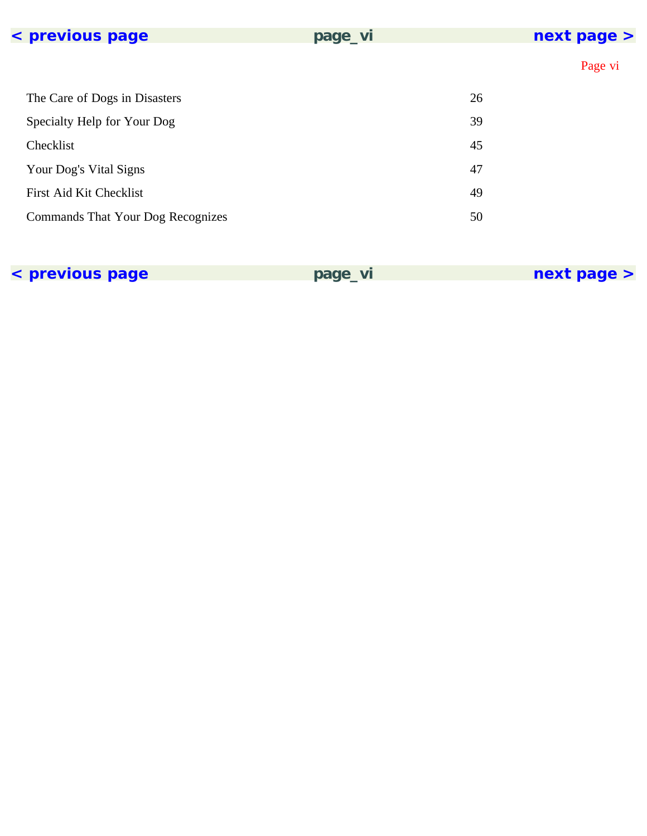<span id="page-4-0"></span>

| < previous page                          | page_vi |    | next page > |
|------------------------------------------|---------|----|-------------|
|                                          |         |    | Page vi     |
| The Care of Dogs in Disasters            |         | 26 |             |
| Specialty Help for Your Dog              |         | 39 |             |
| Checklist                                |         | 45 |             |
| Your Dog's Vital Signs                   |         | 47 |             |
| First Aid Kit Checklist                  |         | 49 |             |
| <b>Commands That Your Dog Recognizes</b> |         | 50 |             |
|                                          |         |    |             |

| < previous page | page_vi | $next$ page $>$ |
|-----------------|---------|-----------------|
|                 |         |                 |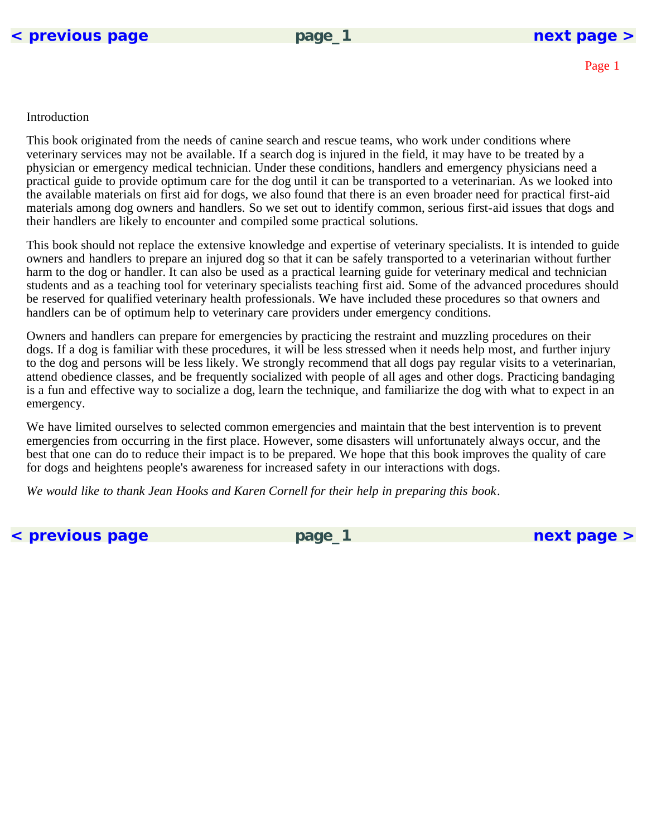## <span id="page-5-0"></span>**[< previous page](#page-4-0) page\_1 [next page >](#page-6-0)**

Page 1

### Introduction

This book originated from the needs of canine search and rescue teams, who work under conditions where veterinary services may not be available. If a search dog is injured in the field, it may have to be treated by a physician or emergency medical technician. Under these conditions, handlers and emergency physicians need a practical guide to provide optimum care for the dog until it can be transported to a veterinarian. As we looked into the available materials on first aid for dogs, we also found that there is an even broader need for practical first-aid materials among dog owners and handlers. So we set out to identify common, serious first-aid issues that dogs and their handlers are likely to encounter and compiled some practical solutions.

This book should not replace the extensive knowledge and expertise of veterinary specialists. It is intended to guide owners and handlers to prepare an injured dog so that it can be safely transported to a veterinarian without further harm to the dog or handler. It can also be used as a practical learning guide for veterinary medical and technician students and as a teaching tool for veterinary specialists teaching first aid. Some of the advanced procedures should be reserved for qualified veterinary health professionals. We have included these procedures so that owners and handlers can be of optimum help to veterinary care providers under emergency conditions.

Owners and handlers can prepare for emergencies by practicing the restraint and muzzling procedures on their dogs. If a dog is familiar with these procedures, it will be less stressed when it needs help most, and further injury to the dog and persons will be less likely. We strongly recommend that all dogs pay regular visits to a veterinarian, attend obedience classes, and be frequently socialized with people of all ages and other dogs. Practicing bandaging is a fun and effective way to socialize a dog, learn the technique, and familiarize the dog with what to expect in an emergency.

We have limited ourselves to selected common emergencies and maintain that the best intervention is to prevent emergencies from occurring in the first place. However, some disasters will unfortunately always occur, and the best that one can do to reduce their impact is to be prepared. We hope that this book improves the quality of care for dogs and heightens people's awareness for increased safety in our interactions with dogs.

*We would like to thank Jean Hooks and Karen Cornell for their help in preparing this book*.

**[< previous page](#page-4-0) page\_1 [next page >](#page-6-0)**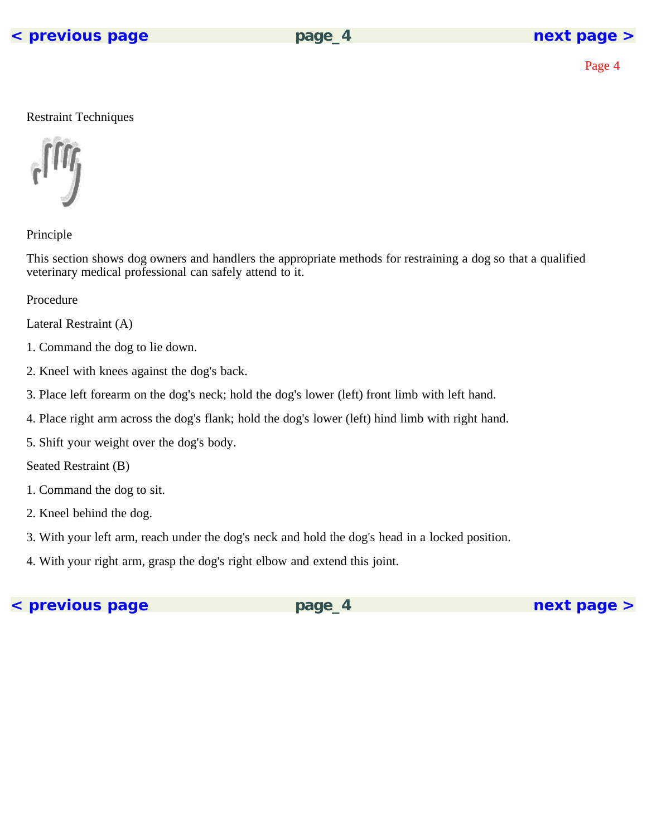## <span id="page-6-0"></span>**[< previous page](#page-5-0) page\_4 [next page >](#page-7-0)**

Page 4

## Restraint Techniques



Principle

This section shows dog owners and handlers the appropriate methods for restraining a dog so that a qualified veterinary medical professional can safely attend to it.

Procedure

Lateral Restraint (A)

- 1. Command the dog to lie down.
- 2. Kneel with knees against the dog's back.
- 3. Place left forearm on the dog's neck; hold the dog's lower (left) front limb with left hand.
- 4. Place right arm across the dog's flank; hold the dog's lower (left) hind limb with right hand.
- 5. Shift your weight over the dog's body.

Seated Restraint (B)

- 1. Command the dog to sit.
- 2. Kneel behind the dog.
- 3. With your left arm, reach under the dog's neck and hold the dog's head in a locked position.
- 4. With your right arm, grasp the dog's right elbow and extend this joint.

**[< previous page](#page-5-0) page\_4 [next page >](#page-7-0)**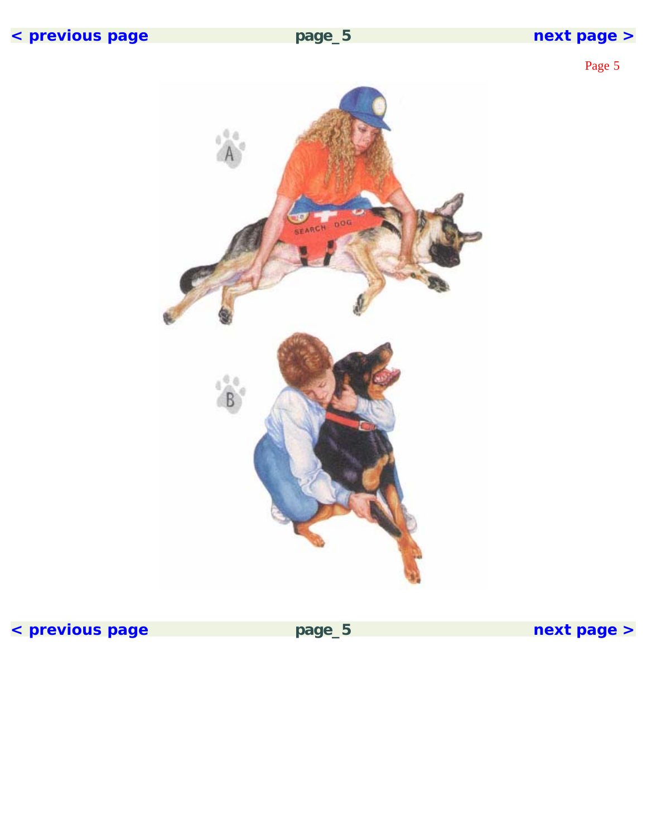# <span id="page-7-0"></span>**[< previous page](#page-6-0) page\_5 [next page >](#page-8-0)**

Page 5



**[< previous page](#page-6-0) page\_5 [next page >](#page-8-0)**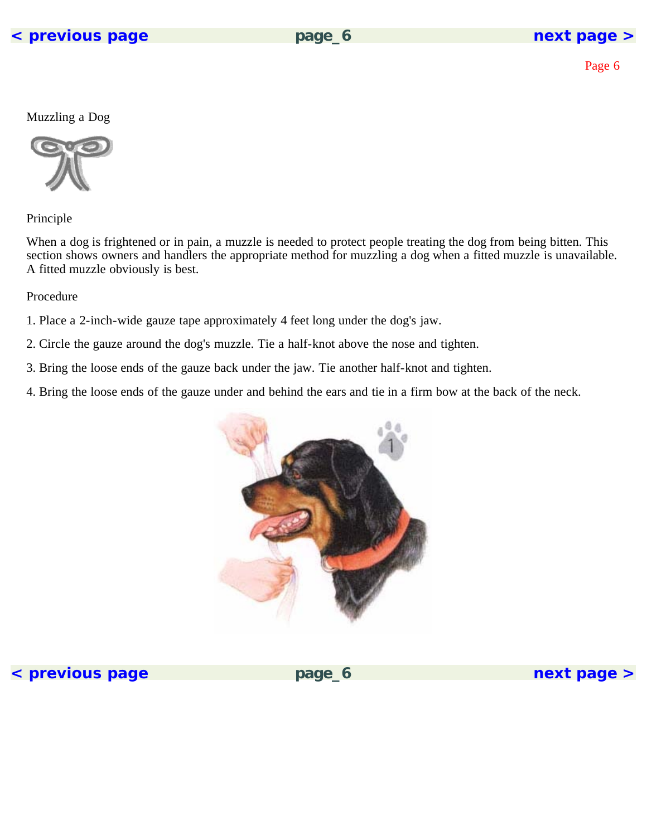## <span id="page-8-0"></span>**[< previous page](#page-7-0) page\_6 [next page >](#page-9-0)**

Page 6

Muzzling a Dog



Principle

When a dog is frightened or in pain, a muzzle is needed to protect people treating the dog from being bitten. This section shows owners and handlers the appropriate method for muzzling a dog when a fitted muzzle is unavailable. A fitted muzzle obviously is best.

Procedure

1. Place a 2-inch-wide gauze tape approximately 4 feet long under the dog's jaw.

2. Circle the gauze around the dog's muzzle. Tie a half-knot above the nose and tighten.

3. Bring the loose ends of the gauze back under the jaw. Tie another half-knot and tighten.

4. Bring the loose ends of the gauze under and behind the ears and tie in a firm bow at the back of the neck.



**[< previous page](#page-7-0) page\_6 [next page >](#page-9-0)**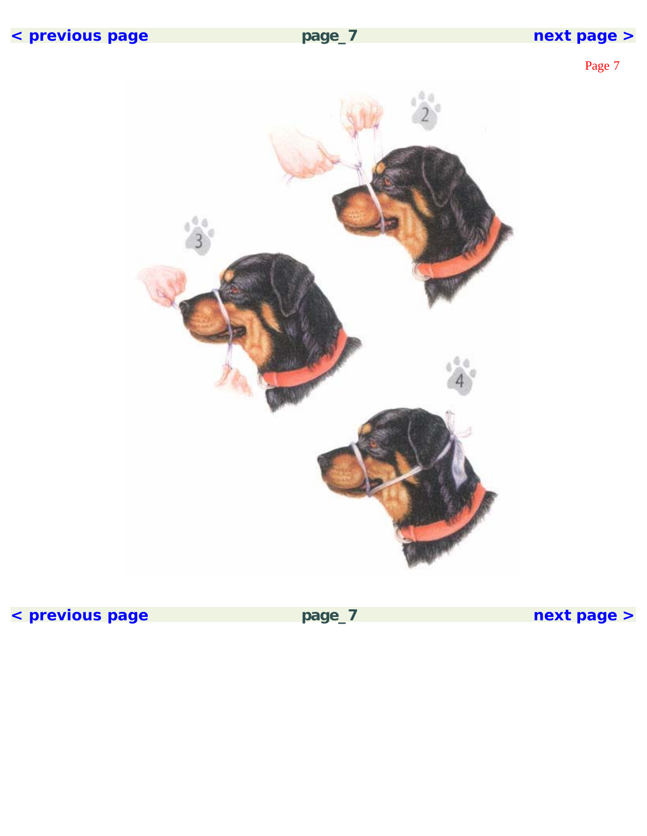<span id="page-9-0"></span>**[< previous page](#page-8-0) page\_7 [next page >](#page-10-0)**



**[< previous page](#page-8-0) page\_7 [next page >](#page-10-0)**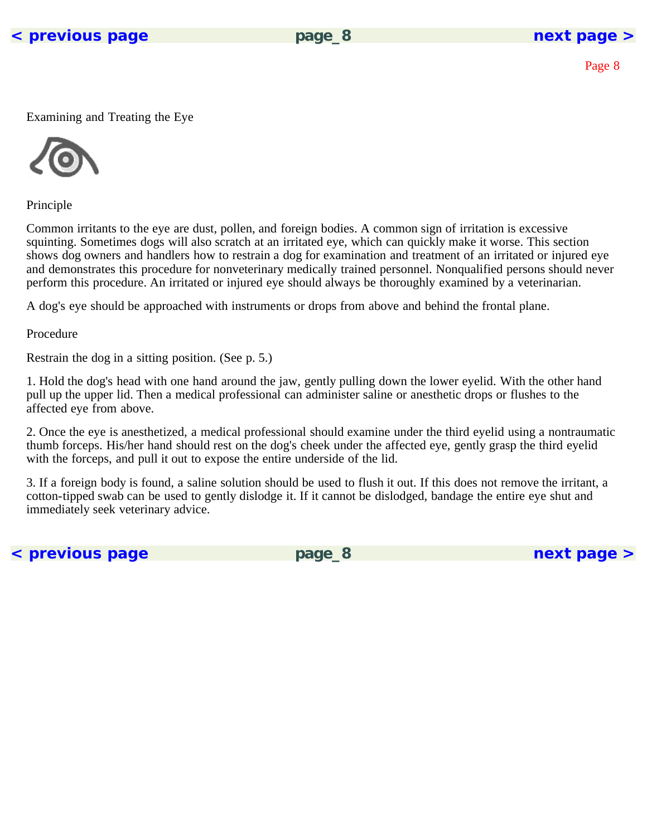<span id="page-10-0"></span>Examining and Treating the Eye



Principle

Common irritants to the eye are dust, pollen, and foreign bodies. A common sign of irritation is excessive squinting. Sometimes dogs will also scratch at an irritated eye, which can quickly make it worse. This section shows dog owners and handlers how to restrain a dog for examination and treatment of an irritated or injured eye and demonstrates this procedure for nonveterinary medically trained personnel. Nonqualified persons should never perform this procedure. An irritated or injured eye should always be thoroughly examined by a veterinarian.

A dog's eye should be approached with instruments or drops from above and behind the frontal plane.

Procedure

Restrain the dog in a sitting position. (See p. 5.)

1. Hold the dog's head with one hand around the jaw, gently pulling down the lower eyelid. With the other hand pull up the upper lid. Then a medical professional can administer saline or anesthetic drops or flushes to the affected eye from above.

2. Once the eye is anesthetized, a medical professional should examine under the third eyelid using a nontraumatic thumb forceps. His/her hand should rest on the dog's cheek under the affected eye, gently grasp the third eyelid with the forceps, and pull it out to expose the entire underside of the lid.

3. If a foreign body is found, a saline solution should be used to flush it out. If this does not remove the irritant, a cotton-tipped swab can be used to gently dislodge it. If it cannot be dislodged, bandage the entire eye shut and immediately seek veterinary advice.

**[< previous page](#page-9-0) page\_8 [next page >](#page-11-0)**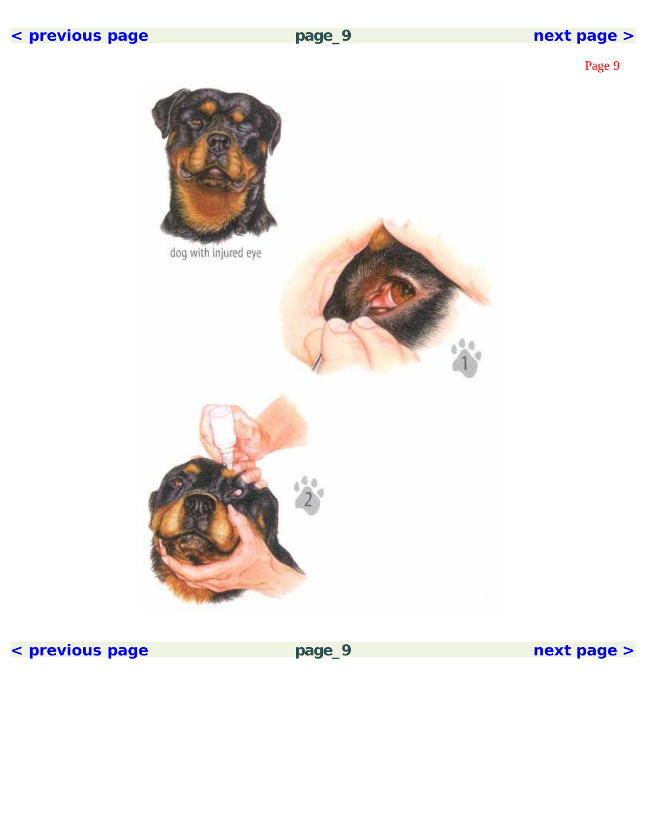<span id="page-11-0"></span>**[< previous page](#page-10-0) page\_9 [next page >](#page-12-0)**

Page 9



**[< previous page](#page-10-0) page\_9 [next page >](#page-12-0)**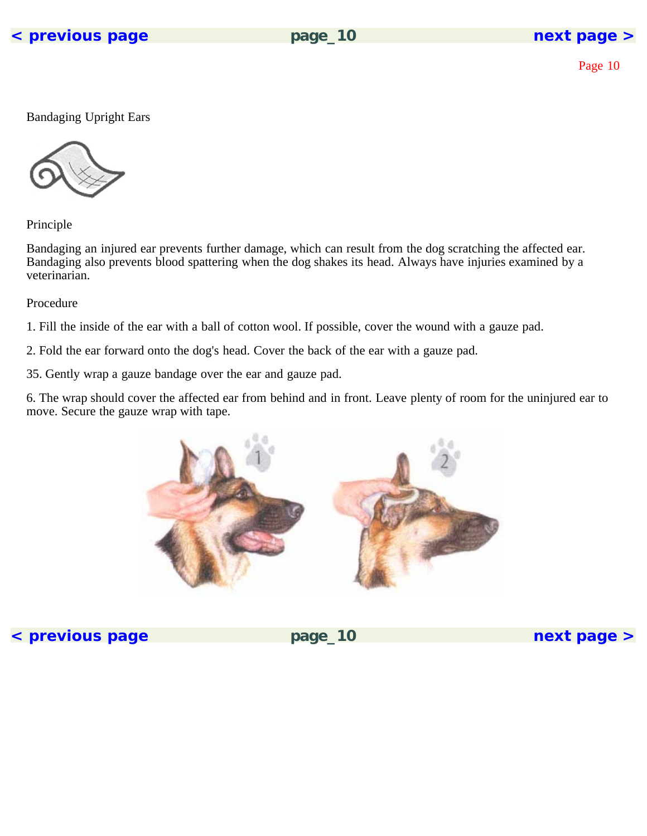<span id="page-12-0"></span>Bandaging Upright Ears



Principle

Bandaging an injured ear prevents further damage, which can result from the dog scratching the affected ear. Bandaging also prevents blood spattering when the dog shakes its head. Always have injuries examined by a veterinarian.

Procedure

1. Fill the inside of the ear with a ball of cotton wool. If possible, cover the wound with a gauze pad.

2. Fold the ear forward onto the dog's head. Cover the back of the ear with a gauze pad.

35. Gently wrap a gauze bandage over the ear and gauze pad.

6. The wrap should cover the affected ear from behind and in front. Leave plenty of room for the uninjured ear to move. Secure the gauze wrap with tape.



**[< previous page](#page-11-0) page\_10 [next page >](#page-13-0)**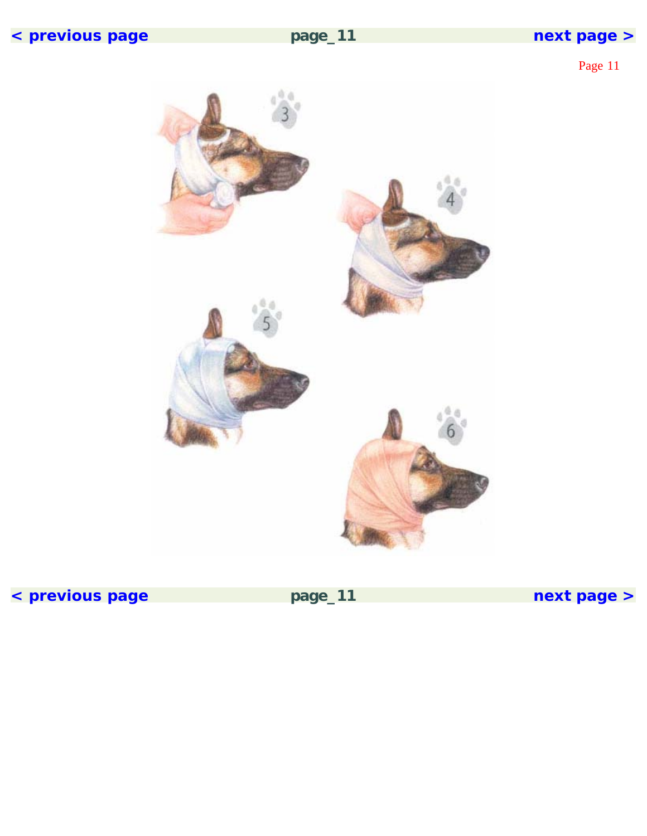# <span id="page-13-0"></span>**[< previous page](#page-12-0) page\_11 [next page >](#page-14-0)**

Page 11



**[< previous page](#page-12-0) page\_11 [next page >](#page-14-0)**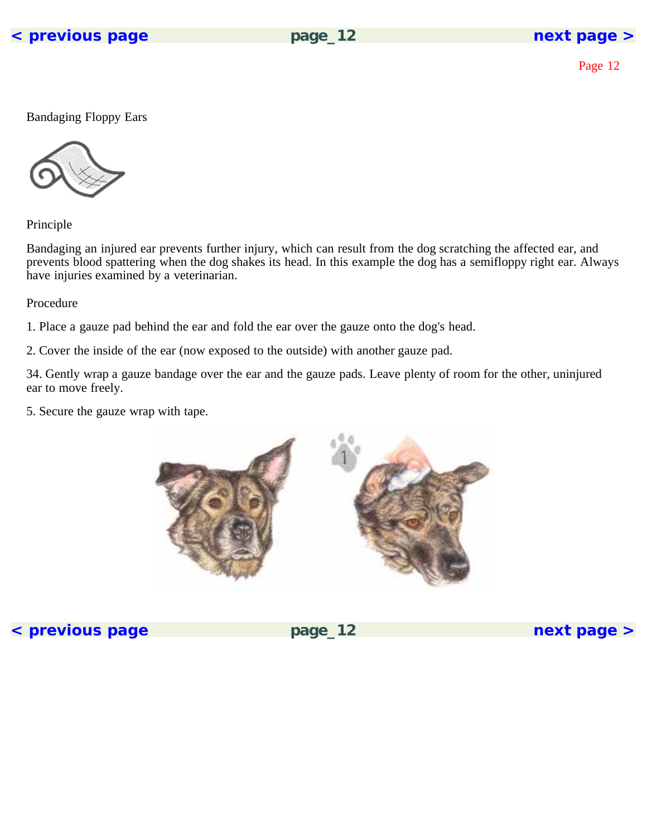Page 12

<span id="page-14-0"></span>Bandaging Floppy Ears



Principle

Bandaging an injured ear prevents further injury, which can result from the dog scratching the affected ear, and prevents blood spattering when the dog shakes its head. In this example the dog has a semifloppy right ear. Always have injuries examined by a veterinarian.

Procedure

1. Place a gauze pad behind the ear and fold the ear over the gauze onto the dog's head.

2. Cover the inside of the ear (now exposed to the outside) with another gauze pad.

34. Gently wrap a gauze bandage over the ear and the gauze pads. Leave plenty of room for the other, uninjured ear to move freely.

5. Secure the gauze wrap with tape.



**[< previous page](#page-13-0) page\_12 [next page >](#page-15-0)**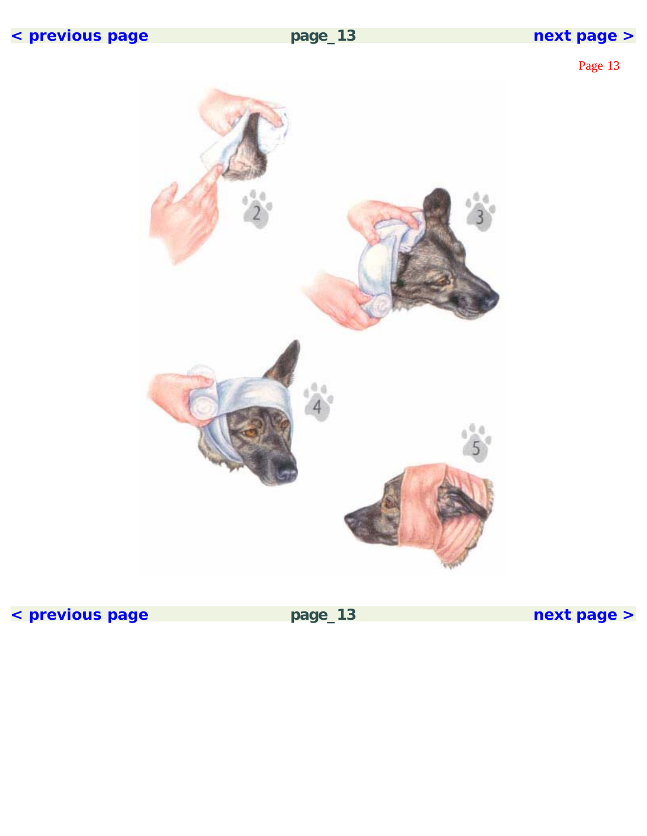# <span id="page-15-0"></span>**[< previous page](#page-14-0) page\_13 [next page >](#page-16-0)**

Page 13



**[< previous page](#page-14-0) page\_13 [next page >](#page-16-0)**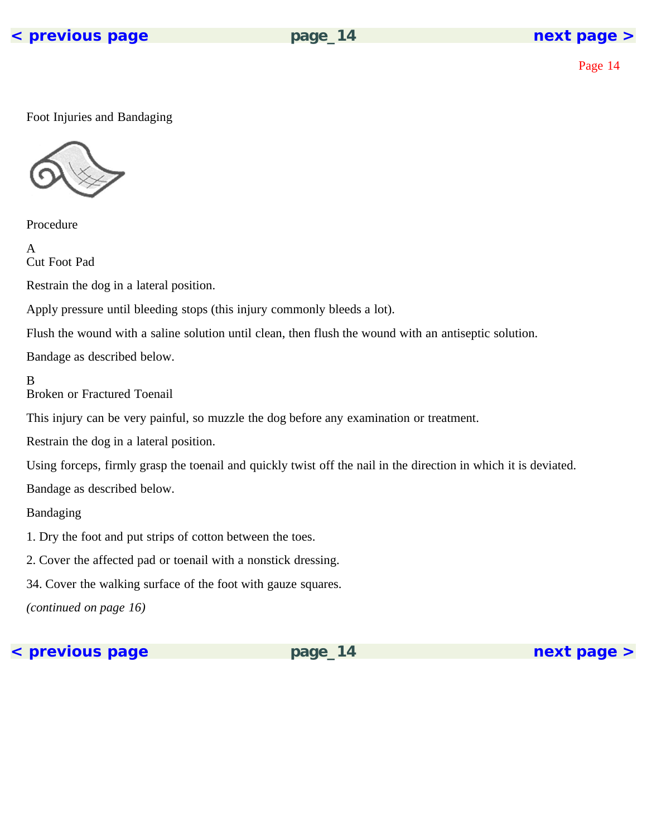Page 14

<span id="page-16-0"></span>Foot Injuries and Bandaging



Procedure

A Cut Foot Pad

Restrain the dog in a lateral position.

Apply pressure until bleeding stops (this injury commonly bleeds a lot).

Flush the wound with a saline solution until clean, then flush the wound with an antiseptic solution.

Bandage as described below.

B

Broken or Fractured Toenail

This injury can be very painful, so muzzle the dog before any examination or treatment.

Restrain the dog in a lateral position.

Using forceps, firmly grasp the toenail and quickly twist off the nail in the direction in which it is deviated.

Bandage as described below.

Bandaging

1. Dry the foot and put strips of cotton between the toes.

2. Cover the affected pad or toenail with a nonstick dressing.

34. Cover the walking surface of the foot with gauze squares.

*(continued on page 16)*

**[< previous page](#page-15-0) page\_14 [next page >](#page-17-0)**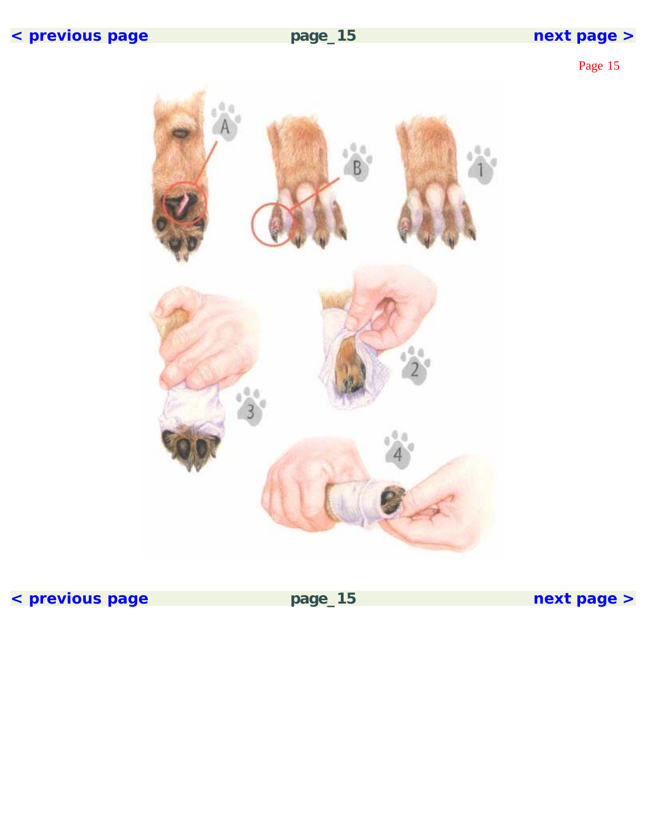<span id="page-17-0"></span>**[< previous page](#page-16-0) page\_15 [next page >](#page-18-0)**

Page 15



**[< previous page](#page-16-0) page\_15 [next page >](#page-18-0)**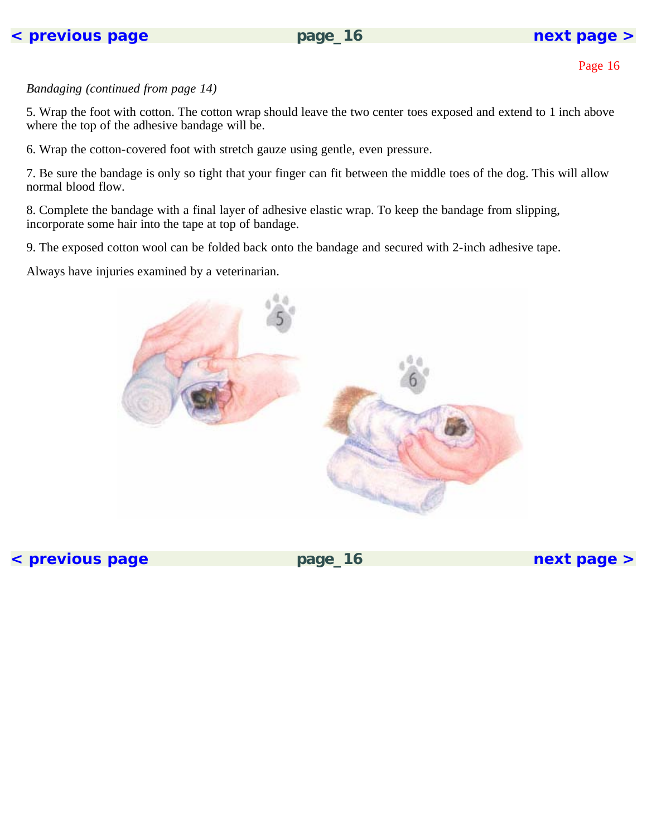## <span id="page-18-0"></span>**[< previous page](#page-17-0) page\_16 [next page >](#page-19-0)**

*Bandaging (continued from page 14)*

5. Wrap the foot with cotton. The cotton wrap should leave the two center toes exposed and extend to 1 inch above where the top of the adhesive bandage will be.

6. Wrap the cotton-covered foot with stretch gauze using gentle, even pressure.

7. Be sure the bandage is only so tight that your finger can fit between the middle toes of the dog. This will allow normal blood flow.

8. Complete the bandage with a final layer of adhesive elastic wrap. To keep the bandage from slipping, incorporate some hair into the tape at top of bandage.

9. The exposed cotton wool can be folded back onto the bandage and secured with 2-inch adhesive tape.

Always have injuries examined by a veterinarian.



**[< previous page](#page-17-0) page\_16 [next page >](#page-19-0)**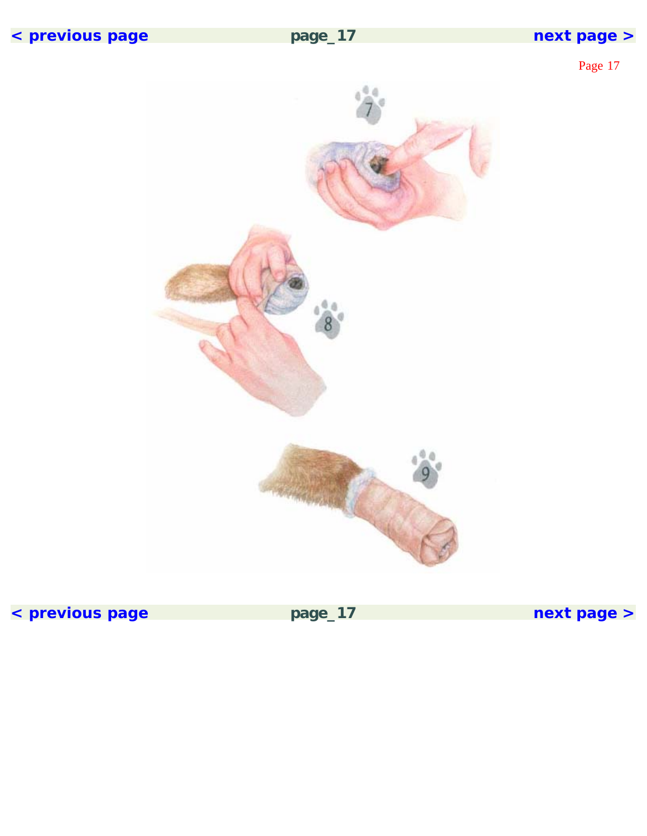Page 17

<span id="page-19-0"></span>

**[< previous page](#page-18-0) page\_17 [next page >](#page-20-0)**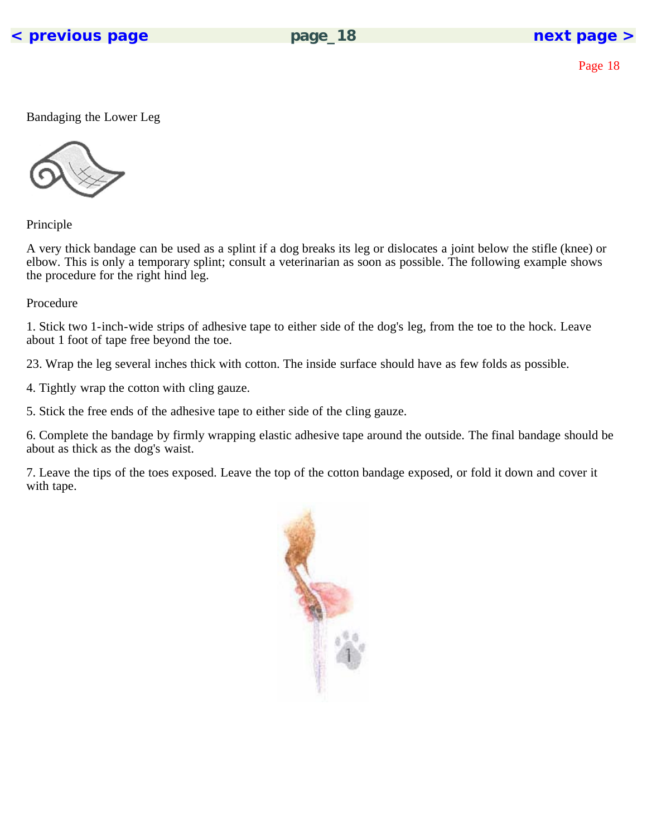Page 18

<span id="page-20-0"></span>Bandaging the Lower Leg



Principle

A very thick bandage can be used as a splint if a dog breaks its leg or dislocates a joint below the stifle (knee) or elbow. This is only a temporary splint; consult a veterinarian as soon as possible. The following example shows the procedure for the right hind leg.

Procedure

1. Stick two 1-inch-wide strips of adhesive tape to either side of the dog's leg, from the toe to the hock. Leave about 1 foot of tape free beyond the toe.

23. Wrap the leg several inches thick with cotton. The inside surface should have as few folds as possible.

4. Tightly wrap the cotton with cling gauze.

5. Stick the free ends of the adhesive tape to either side of the cling gauze.

6. Complete the bandage by firmly wrapping elastic adhesive tape around the outside. The final bandage should be about as thick as the dog's waist.

7. Leave the tips of the toes exposed. Leave the top of the cotton bandage exposed, or fold it down and cover it with tape.

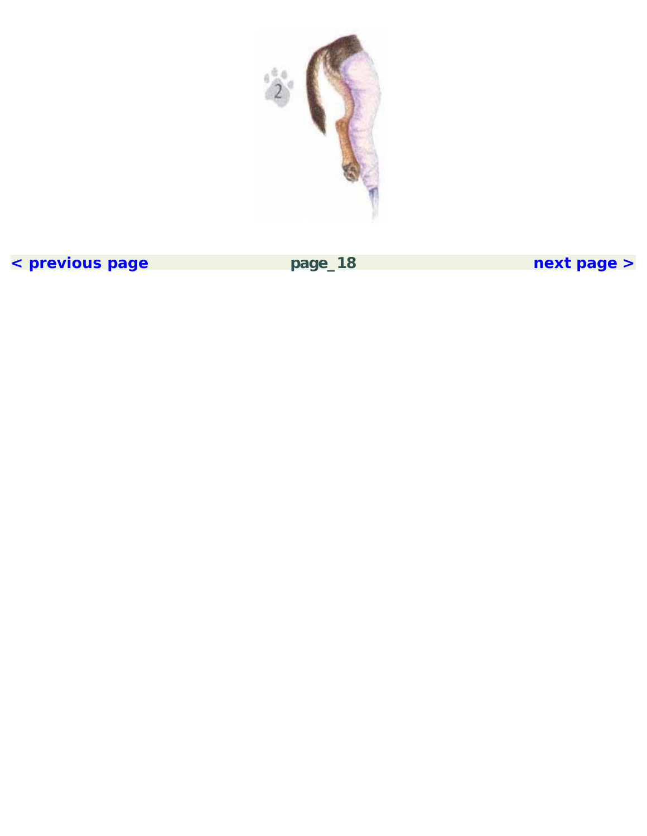**[< previous page](#page-19-0) page\_18 [next page >](#page-22-0)**

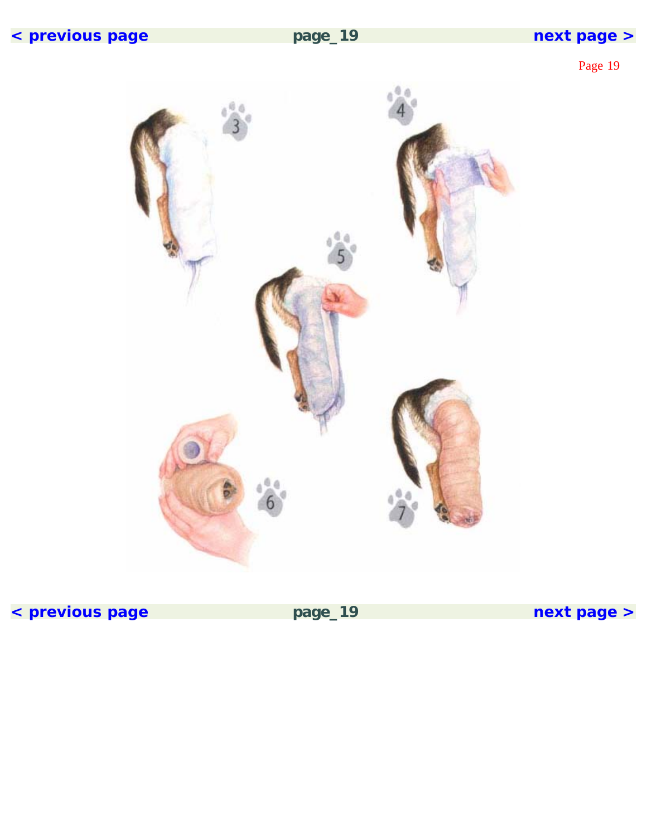# <span id="page-22-0"></span>**[< previous page](#page-20-0) page\_19 [next page >](#page-23-0)**

Page 19



**[< previous page](#page-20-0) page\_19 [next page >](#page-23-0)**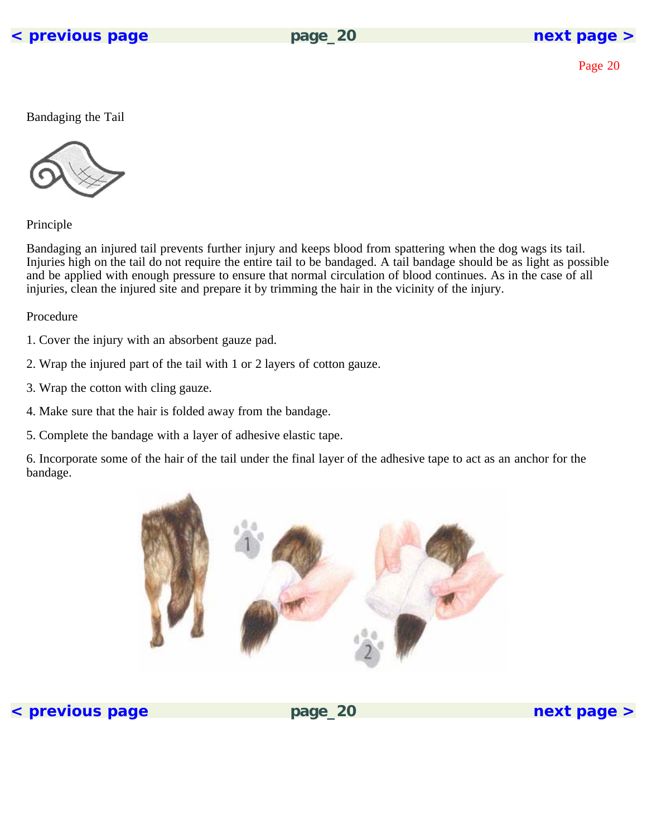Page 20

<span id="page-23-0"></span>Bandaging the Tail



Principle

Bandaging an injured tail prevents further injury and keeps blood from spattering when the dog wags its tail. Injuries high on the tail do not require the entire tail to be bandaged. A tail bandage should be as light as possible and be applied with enough pressure to ensure that normal circulation of blood continues. As in the case of all injuries, clean the injured site and prepare it by trimming the hair in the vicinity of the injury.

Procedure

- 1. Cover the injury with an absorbent gauze pad.
- 2. Wrap the injured part of the tail with 1 or 2 layers of cotton gauze.
- 3. Wrap the cotton with cling gauze.
- 4. Make sure that the hair is folded away from the bandage.
- 5. Complete the bandage with a layer of adhesive elastic tape.

6. Incorporate some of the hair of the tail under the final layer of the adhesive tape to act as an anchor for the bandage.



**[< previous page](#page-22-0) page\_20 [next page >](#page-24-0)**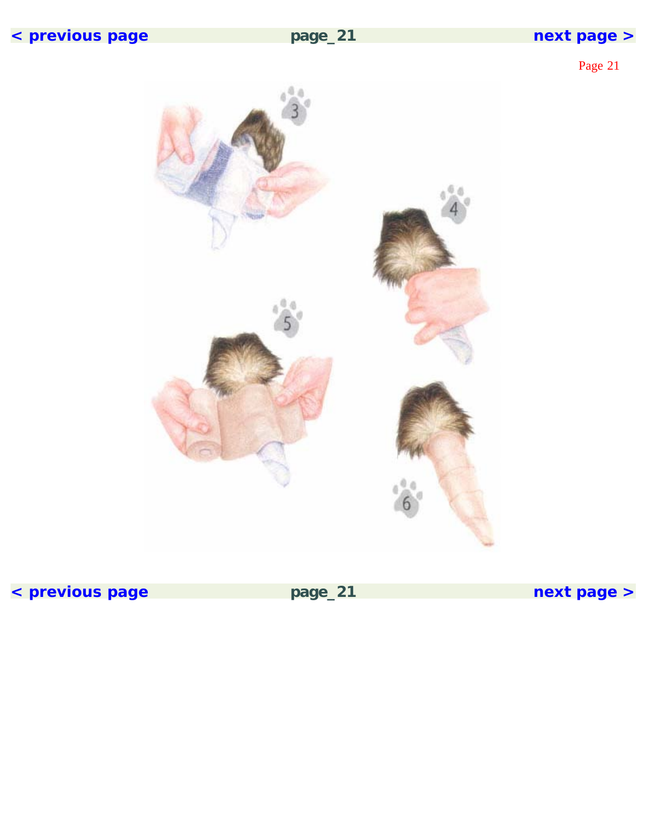# <span id="page-24-0"></span>**[< previous page](#page-23-0) page\_21 [next page >](#page-25-0)**





**[< previous page](#page-23-0) page\_21 [next page >](#page-25-0)**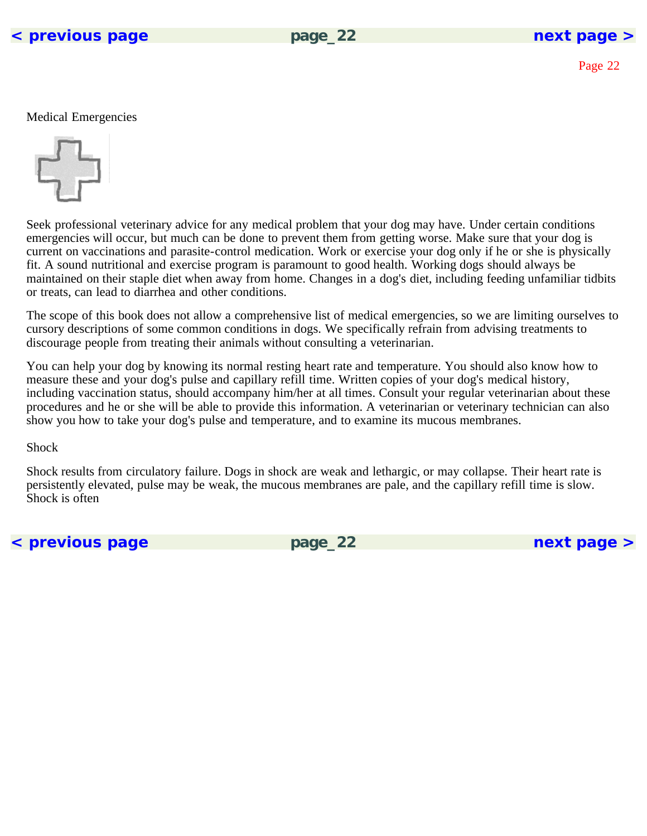Page 22

<span id="page-25-0"></span>Medical Emergencies



Seek professional veterinary advice for any medical problem that your dog may have. Under certain conditions emergencies will occur, but much can be done to prevent them from getting worse. Make sure that your dog is current on vaccinations and parasite-control medication. Work or exercise your dog only if he or she is physically fit. A sound nutritional and exercise program is paramount to good health. Working dogs should always be maintained on their staple diet when away from home. Changes in a dog's diet, including feeding unfamiliar tidbits or treats, can lead to diarrhea and other conditions.

The scope of this book does not allow a comprehensive list of medical emergencies, so we are limiting ourselves to cursory descriptions of some common conditions in dogs. We specifically refrain from advising treatments to discourage people from treating their animals without consulting a veterinarian.

You can help your dog by knowing its normal resting heart rate and temperature. You should also know how to measure these and your dog's pulse and capillary refill time. Written copies of your dog's medical history, including vaccination status, should accompany him/her at all times. Consult your regular veterinarian about these procedures and he or she will be able to provide this information. A veterinarian or veterinary technician can also show you how to take your dog's pulse and temperature, and to examine its mucous membranes.

Shock

Shock results from circulatory failure. Dogs in shock are weak and lethargic, or may collapse. Their heart rate is persistently elevated, pulse may be weak, the mucous membranes are pale, and the capillary refill time is slow. Shock is often

**[< previous page](#page-24-0) page\_22 [next page >](#page-26-0)**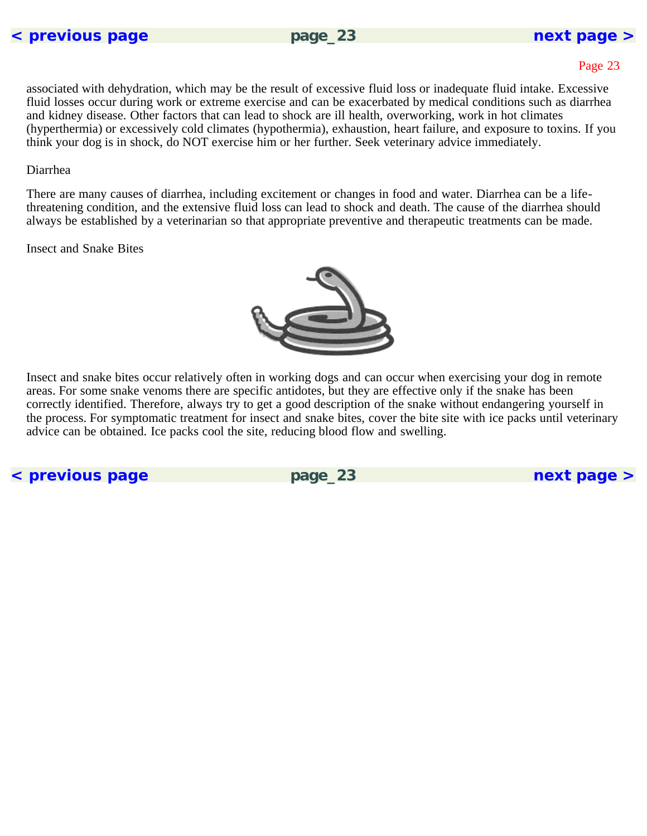<span id="page-26-0"></span>associated with dehydration, which may be the result of excessive fluid loss or inadequate fluid intake. Excessive fluid losses occur during work or extreme exercise and can be exacerbated by medical conditions such as diarrhea and kidney disease. Other factors that can lead to shock are ill health, overworking, work in hot climates (hyperthermia) or excessively cold climates (hypothermia), exhaustion, heart failure, and exposure to toxins. If you think your dog is in shock, do NOT exercise him or her further. Seek veterinary advice immediately.

### Diarrhea

There are many causes of diarrhea, including excitement or changes in food and water. Diarrhea can be a lifethreatening condition, and the extensive fluid loss can lead to shock and death. The cause of the diarrhea should always be established by a veterinarian so that appropriate preventive and therapeutic treatments can be made.

Insect and Snake Bites



Insect and snake bites occur relatively often in working dogs and can occur when exercising your dog in remote areas. For some snake venoms there are specific antidotes, but they are effective only if the snake has been correctly identified. Therefore, always try to get a good description of the snake without endangering yourself in the process. For symptomatic treatment for insect and snake bites, cover the bite site with ice packs until veterinary advice can be obtained. Ice packs cool the site, reducing blood flow and swelling.

**[< previous page](#page-25-0) page\_23 [next page >](#page-27-0)**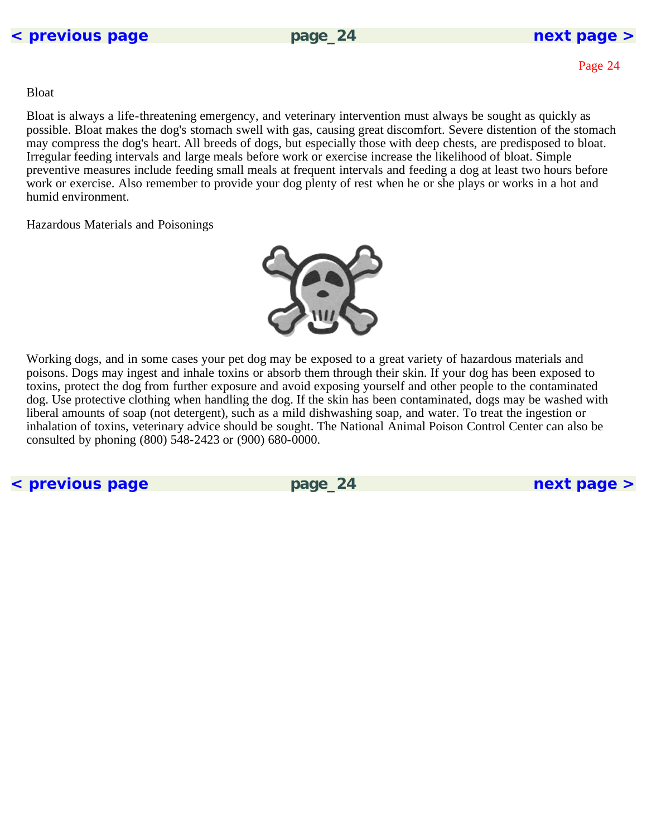### <span id="page-27-0"></span>Bloat

Bloat is always a life-threatening emergency, and veterinary intervention must always be sought as quickly as possible. Bloat makes the dog's stomach swell with gas, causing great discomfort. Severe distention of the stomach may compress the dog's heart. All breeds of dogs, but especially those with deep chests, are predisposed to bloat. Irregular feeding intervals and large meals before work or exercise increase the likelihood of bloat. Simple preventive measures include feeding small meals at frequent intervals and feeding a dog at least two hours before work or exercise. Also remember to provide your dog plenty of rest when he or she plays or works in a hot and humid environment.

Hazardous Materials and Poisonings



Working dogs, and in some cases your pet dog may be exposed to a great variety of hazardous materials and poisons. Dogs may ingest and inhale toxins or absorb them through their skin. If your dog has been exposed to toxins, protect the dog from further exposure and avoid exposing yourself and other people to the contaminated dog. Use protective clothing when handling the dog. If the skin has been contaminated, dogs may be washed with liberal amounts of soap (not detergent), such as a mild dishwashing soap, and water. To treat the ingestion or inhalation of toxins, veterinary advice should be sought. The National Animal Poison Control Center can also be consulted by phoning (800) 548-2423 or (900) 680-0000.

**[< previous page](#page-26-0) page\_24 [next page >](#page-28-0)**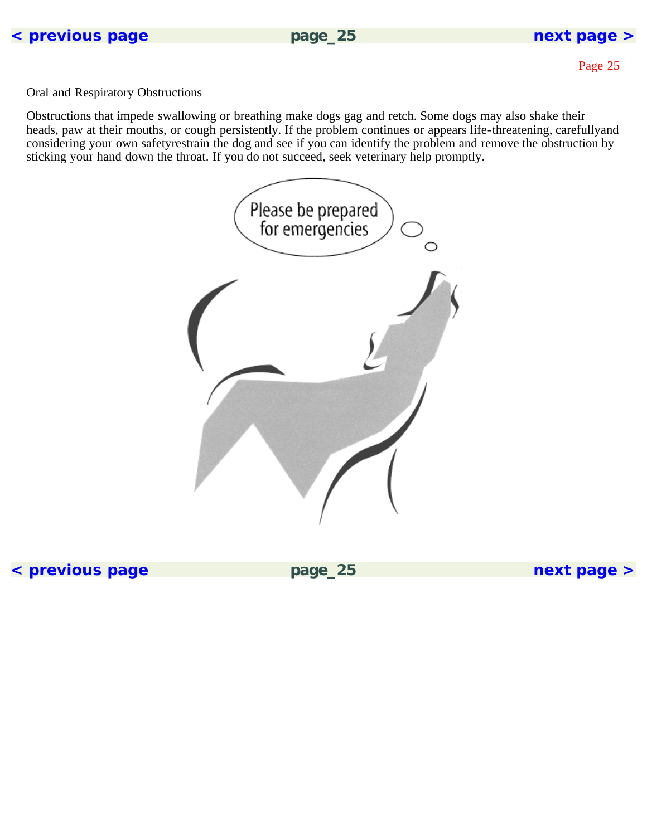Page 25

<span id="page-28-0"></span>Oral and Respiratory Obstructions

Obstructions that impede swallowing or breathing make dogs gag and retch. Some dogs may also shake their heads, paw at their mouths, or cough persistently. If the problem continues or appears life-threatening, carefullyand considering your own safetyrestrain the dog and see if you can identify the problem and remove the obstruction by sticking your hand down the throat. If you do not succeed, seek veterinary help promptly.



**[< previous page](#page-27-0) page\_25 [next page >](#page-29-0)**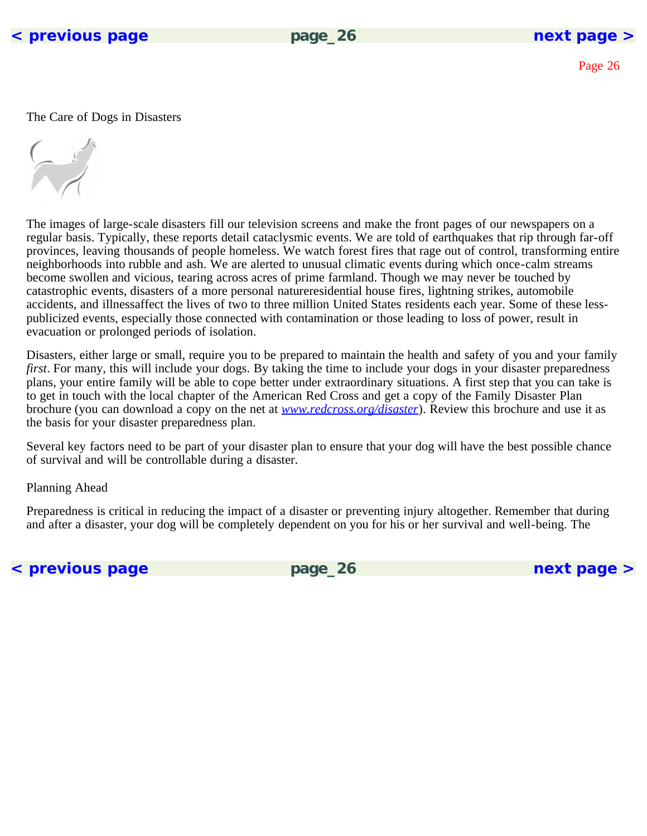Page 26

<span id="page-29-0"></span>The Care of Dogs in Disasters

The images of large-scale disasters fill our television screens and make the front pages of our newspapers on a regular basis. Typically, these reports detail cataclysmic events. We are told of earthquakes that rip through far-off provinces, leaving thousands of people homeless. We watch forest fires that rage out of control, transforming entire neighborhoods into rubble and ash. We are alerted to unusual climatic events during which once-calm streams become swollen and vicious, tearing across acres of prime farmland. Though we may never be touched by catastrophic events, disasters of a more personal natureresidential house fires, lightning strikes, automobile accidents, and illnessaffect the lives of two to three million United States residents each year. Some of these lesspublicized events, especially those connected with contamination or those leading to loss of power, result in evacuation or prolonged periods of isolation.

Disasters, either large or small, require you to be prepared to maintain the health and safety of you and your family *first*. For many, this will include your dogs. By taking the time to include your dogs in your disaster preparedness plans, your entire family will be able to cope better under extraordinary situations. A first step that you can take is to get in touch with the local chapter of the American Red Cross and get a copy of the Family Disaster Plan brochure (you can download a copy on the net at *www.redcross.org/disaster*). Review this brochure and use it as the basis for your disaster preparedness plan.

Several key factors need to be part of your disaster plan to ensure that your dog will have the best possible chance of survival and will be controllable during a disaster.

Planning Ahead

Preparedness is critical in reducing the impact of a disaster or preventing injury altogether. Remember that during and after a disaster, your dog will be completely dependent on you for his or her survival and well-being. The

**[< previous page](#page-28-0) page\_26 [next page >](#page-30-0)**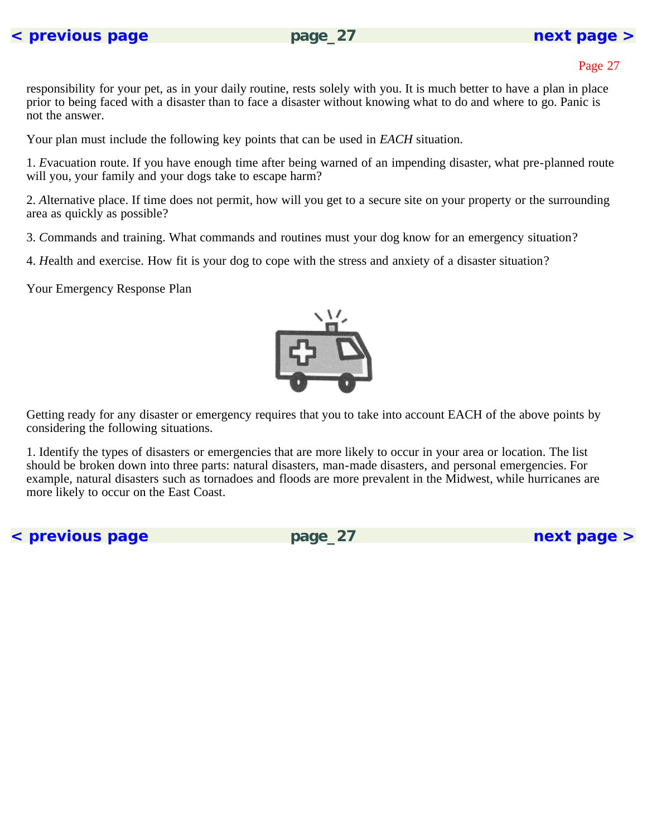### <span id="page-30-0"></span>**[< previous page](#page-29-0) page\_27 [next page >](#page-31-0)**

responsibility for your pet, as in your daily routine, rests solely with you. It is much better to have a plan in place prior to being faced with a disaster than to face a disaster without knowing what to do and where to go. Panic is not the answer.

Your plan must include the following key points that can be used in *EACH* situation.

1. *E*vacuation route. If you have enough time after being warned of an impending disaster, what pre-planned route will you, your family and your dogs take to escape harm?

2. *A*lternative place. If time does not permit, how will you get to a secure site on your property or the surrounding area as quickly as possible?

3. *C*ommands and training. What commands and routines must your dog know for an emergency situation?

4. *H*ealth and exercise. How fit is your dog to cope with the stress and anxiety of a disaster situation?

Your Emergency Response Plan



Getting ready for any disaster or emergency requires that you to take into account EACH of the above points by considering the following situations.

1. Identify the types of disasters or emergencies that are more likely to occur in your area or location. The list should be broken down into three parts: natural disasters, man-made disasters, and personal emergencies. For example, natural disasters such as tornadoes and floods are more prevalent in the Midwest, while hurricanes are more likely to occur on the East Coast.

**[< previous page](#page-29-0) page\_27 [next page >](#page-31-0)**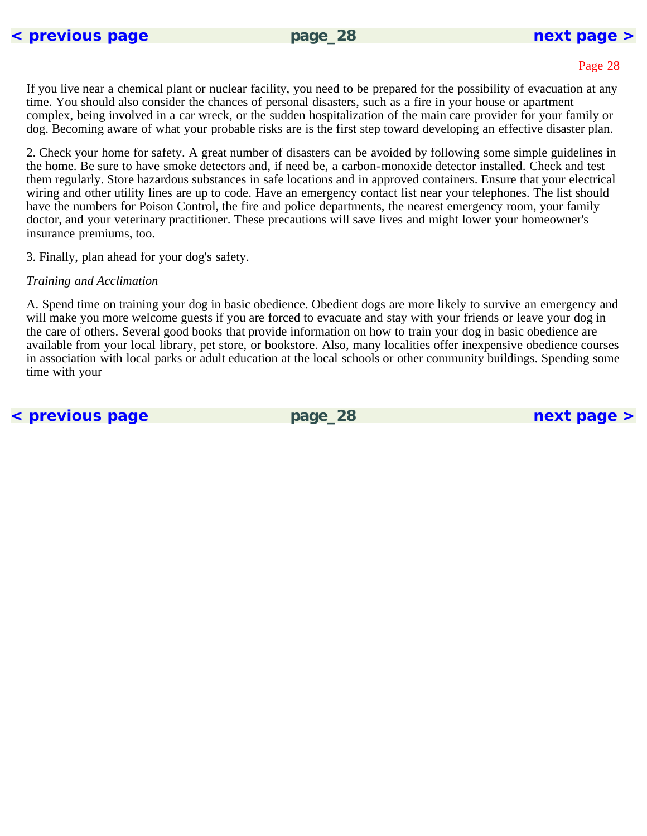<span id="page-31-0"></span>If you live near a chemical plant or nuclear facility, you need to be prepared for the possibility of evacuation at any time. You should also consider the chances of personal disasters, such as a fire in your house or apartment complex, being involved in a car wreck, or the sudden hospitalization of the main care provider for your family or dog. Becoming aware of what your probable risks are is the first step toward developing an effective disaster plan.

2. Check your home for safety. A great number of disasters can be avoided by following some simple guidelines in the home. Be sure to have smoke detectors and, if need be, a carbon-monoxide detector installed. Check and test them regularly. Store hazardous substances in safe locations and in approved containers. Ensure that your electrical wiring and other utility lines are up to code. Have an emergency contact list near your telephones. The list should have the numbers for Poison Control, the fire and police departments, the nearest emergency room, your family doctor, and your veterinary practitioner. These precautions will save lives and might lower your homeowner's insurance premiums, too.

3. Finally, plan ahead for your dog's safety.

*Training and Acclimation*

A. Spend time on training your dog in basic obedience. Obedient dogs are more likely to survive an emergency and will make you more welcome guests if you are forced to evacuate and stay with your friends or leave your dog in the care of others. Several good books that provide information on how to train your dog in basic obedience are available from your local library, pet store, or bookstore. Also, many localities offer inexpensive obedience courses in association with local parks or adult education at the local schools or other community buildings. Spending some time with your

**[< previous page](#page-30-0) page\_28 [next page >](#page-32-0)**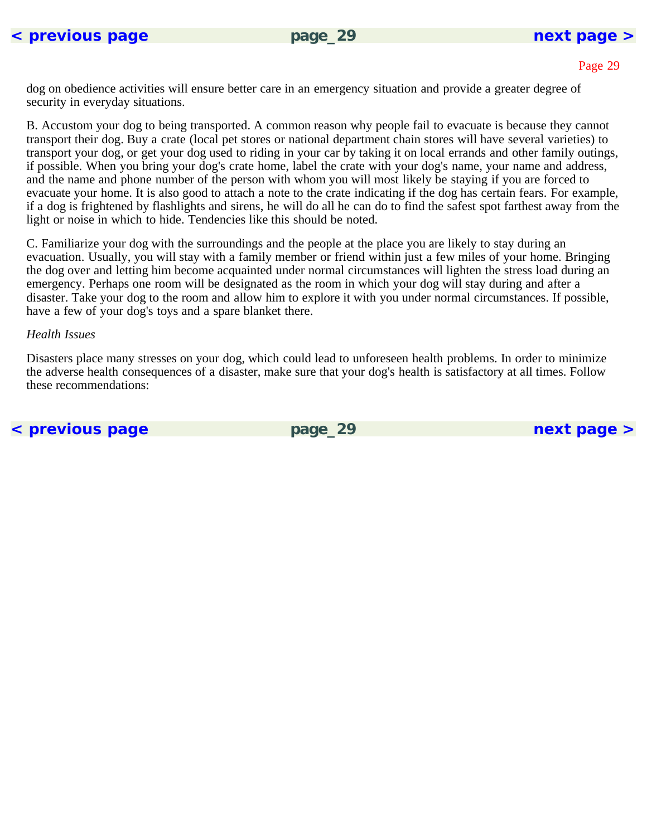<span id="page-32-0"></span>dog on obedience activities will ensure better care in an emergency situation and provide a greater degree of security in everyday situations.

B. Accustom your dog to being transported. A common reason why people fail to evacuate is because they cannot transport their dog. Buy a crate (local pet stores or national department chain stores will have several varieties) to transport your dog, or get your dog used to riding in your car by taking it on local errands and other family outings, if possible. When you bring your dog's crate home, label the crate with your dog's name, your name and address, and the name and phone number of the person with whom you will most likely be staying if you are forced to evacuate your home. It is also good to attach a note to the crate indicating if the dog has certain fears. For example, if a dog is frightened by flashlights and sirens, he will do all he can do to find the safest spot farthest away from the light or noise in which to hide. Tendencies like this should be noted.

C. Familiarize your dog with the surroundings and the people at the place you are likely to stay during an evacuation. Usually, you will stay with a family member or friend within just a few miles of your home. Bringing the dog over and letting him become acquainted under normal circumstances will lighten the stress load during an emergency. Perhaps one room will be designated as the room in which your dog will stay during and after a disaster. Take your dog to the room and allow him to explore it with you under normal circumstances. If possible, have a few of your dog's toys and a spare blanket there.

*Health Issues*

Disasters place many stresses on your dog, which could lead to unforeseen health problems. In order to minimize the adverse health consequences of a disaster, make sure that your dog's health is satisfactory at all times. Follow these recommendations:

**[< previous page](#page-31-0) page\_29 [next page >](#page-33-0)**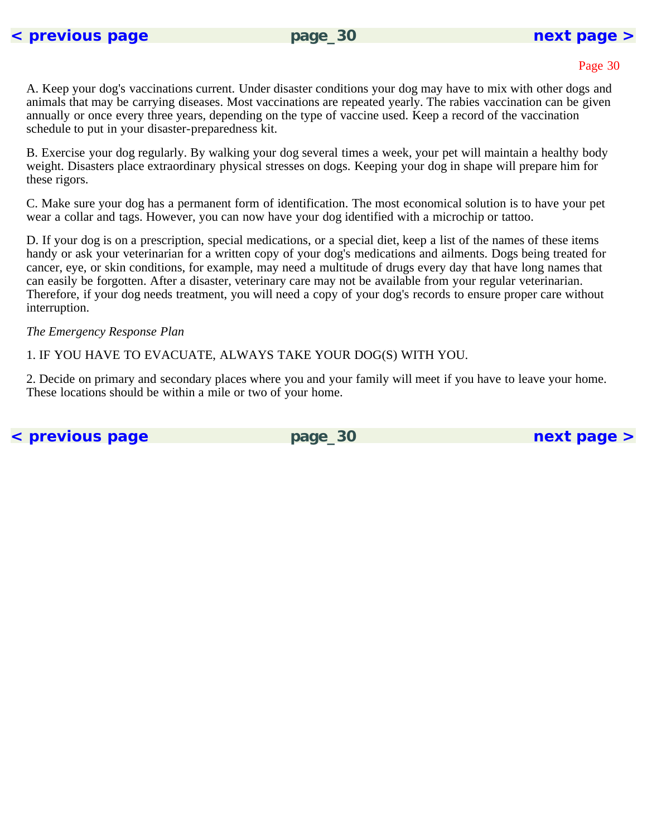<span id="page-33-0"></span>A. Keep your dog's vaccinations current. Under disaster conditions your dog may have to mix with other dogs and animals that may be carrying diseases. Most vaccinations are repeated yearly. The rabies vaccination can be given annually or once every three years, depending on the type of vaccine used. Keep a record of the vaccination schedule to put in your disaster-preparedness kit.

B. Exercise your dog regularly. By walking your dog several times a week, your pet will maintain a healthy body weight. Disasters place extraordinary physical stresses on dogs. Keeping your dog in shape will prepare him for these rigors.

C. Make sure your dog has a permanent form of identification. The most economical solution is to have your pet wear a collar and tags. However, you can now have your dog identified with a microchip or tattoo.

D. If your dog is on a prescription, special medications, or a special diet, keep a list of the names of these items handy or ask your veterinarian for a written copy of your dog's medications and ailments. Dogs being treated for cancer, eye, or skin conditions, for example, may need a multitude of drugs every day that have long names that can easily be forgotten. After a disaster, veterinary care may not be available from your regular veterinarian. Therefore, if your dog needs treatment, you will need a copy of your dog's records to ensure proper care without interruption.

*The Emergency Response Plan*

1. IF YOU HAVE TO EVACUATE, ALWAYS TAKE YOUR DOG(S) WITH YOU.

2. Decide on primary and secondary places where you and your family will meet if you have to leave your home. These locations should be within a mile or two of your home.

**[< previous page](#page-32-0) page\_30 [next page >](#page-34-0)**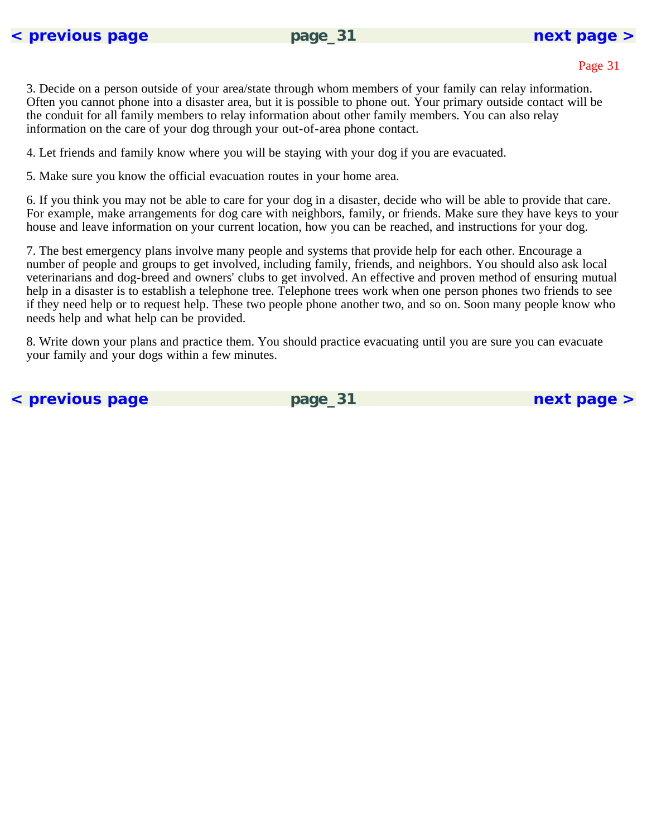### Page 31

<span id="page-34-0"></span>3. Decide on a person outside of your area/state through whom members of your family can relay information. Often you cannot phone into a disaster area, but it is possible to phone out. Your primary outside contact will be the conduit for all family members to relay information about other family members. You can also relay information on the care of your dog through your out-of-area phone contact.

4. Let friends and family know where you will be staying with your dog if you are evacuated.

5. Make sure you know the official evacuation routes in your home area.

6. If you think you may not be able to care for your dog in a disaster, decide who will be able to provide that care. For example, make arrangements for dog care with neighbors, family, or friends. Make sure they have keys to your house and leave information on your current location, how you can be reached, and instructions for your dog.

7. The best emergency plans involve many people and systems that provide help for each other. Encourage a number of people and groups to get involved, including family, friends, and neighbors. You should also ask local veterinarians and dog-breed and owners' clubs to get involved. An effective and proven method of ensuring mutual help in a disaster is to establish a telephone tree. Telephone trees work when one person phones two friends to see if they need help or to request help. These two people phone another two, and so on. Soon many people know who needs help and what help can be provided.

8. Write down your plans and practice them. You should practice evacuating until you are sure you can evacuate your family and your dogs within a few minutes.

**[< previous page](#page-33-0) page\_31 [next page >](#page-35-0)**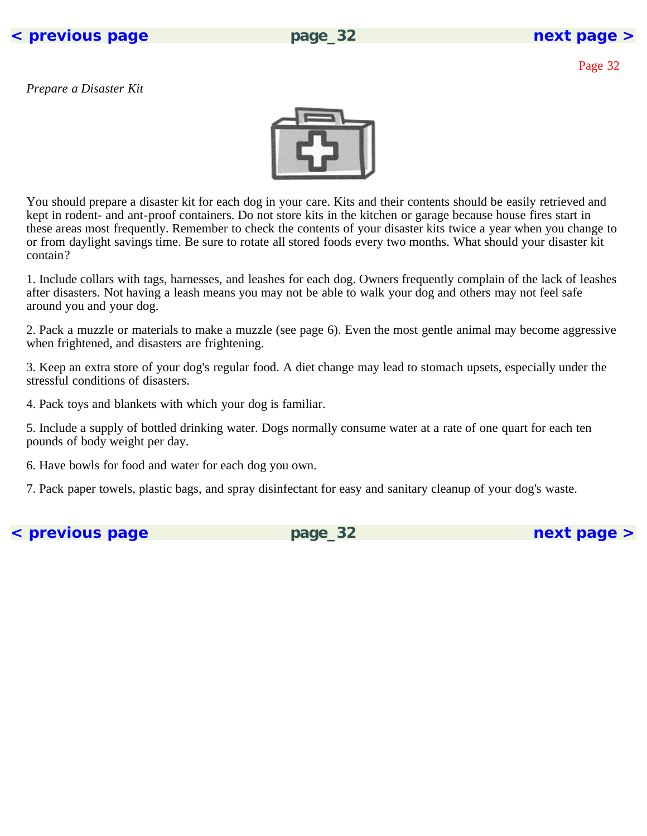### <span id="page-35-0"></span>**[< previous page](#page-34-0) page\_32 [next page >](#page-36-0)**

*Prepare a Disaster Kit*



You should prepare a disaster kit for each dog in your care. Kits and their contents should be easily retrieved and kept in rodent- and ant-proof containers. Do not store kits in the kitchen or garage because house fires start in these areas most frequently. Remember to check the contents of your disaster kits twice a year when you change to or from daylight savings time. Be sure to rotate all stored foods every two months. What should your disaster kit contain?

1. Include collars with tags, harnesses, and leashes for each dog. Owners frequently complain of the lack of leashes after disasters. Not having a leash means you may not be able to walk your dog and others may not feel safe around you and your dog.

2. Pack a muzzle or materials to make a muzzle (see page 6). Even the most gentle animal may become aggressive when frightened, and disasters are frightening.

3. Keep an extra store of your dog's regular food. A diet change may lead to stomach upsets, especially under the stressful conditions of disasters.

4. Pack toys and blankets with which your dog is familiar.

5. Include a supply of bottled drinking water. Dogs normally consume water at a rate of one quart for each ten pounds of body weight per day.

6. Have bowls for food and water for each dog you own.

7. Pack paper towels, plastic bags, and spray disinfectant for easy and sanitary cleanup of your dog's waste.

**[< previous page](#page-34-0) page\_32 [next page >](#page-36-0)**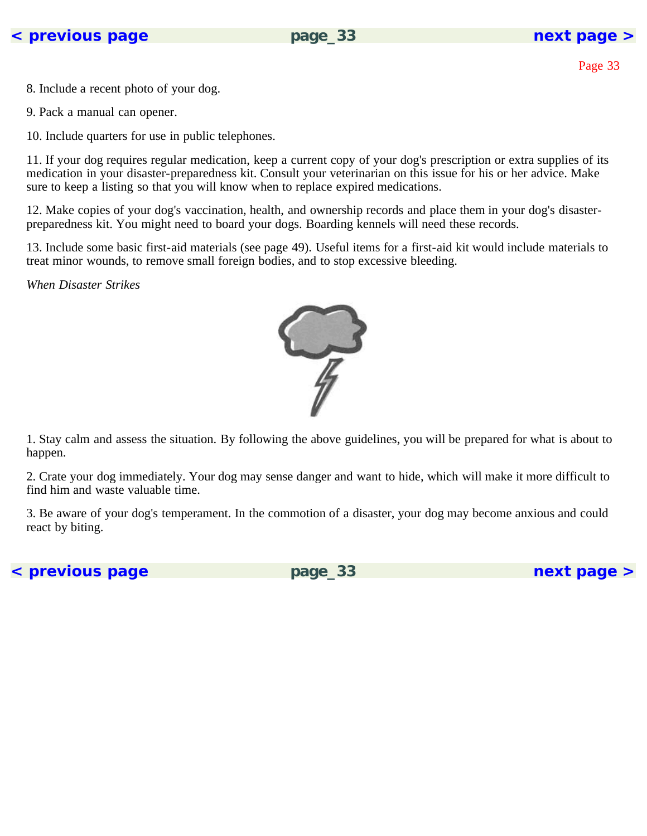## <span id="page-36-0"></span>**[< previous page](#page-35-0) page\_33 [next page >](#page-37-0)**

Page 33

8. Include a recent photo of your dog.

9. Pack a manual can opener.

10. Include quarters for use in public telephones.

11. If your dog requires regular medication, keep a current copy of your dog's prescription or extra supplies of its medication in your disaster-preparedness kit. Consult your veterinarian on this issue for his or her advice. Make sure to keep a listing so that you will know when to replace expired medications.

12. Make copies of your dog's vaccination, health, and ownership records and place them in your dog's disasterpreparedness kit. You might need to board your dogs. Boarding kennels will need these records.

13. Include some basic first-aid materials (see page 49). Useful items for a first-aid kit would include materials to treat minor wounds, to remove small foreign bodies, and to stop excessive bleeding.

*When Disaster Strikes*



1. Stay calm and assess the situation. By following the above guidelines, you will be prepared for what is about to happen.

2. Crate your dog immediately. Your dog may sense danger and want to hide, which will make it more difficult to find him and waste valuable time.

3. Be aware of your dog's temperament. In the commotion of a disaster, your dog may become anxious and could react by biting.

**[< previous page](#page-35-0) page\_33 [next page >](#page-37-0)**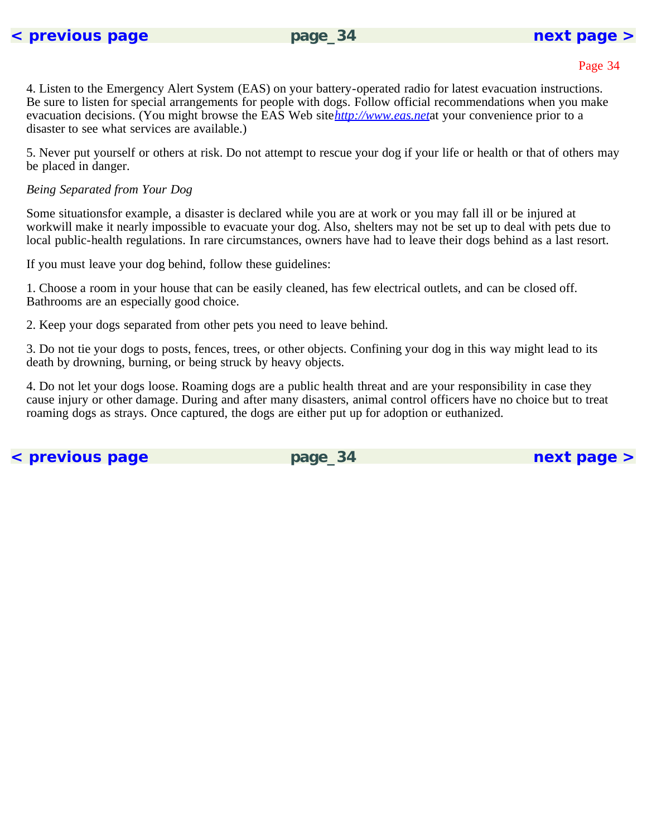<span id="page-37-0"></span>4. Listen to the Emergency Alert System (EAS) on your battery-operated radio for latest evacuation instructions. Be sure to listen for special arrangements for people with dogs. Follow official recommendations when you make evacuation decisions. (You might browse the EAS Web site*http://www.eas.net*at your convenience prior to a disaster to see what services are available.)

5. Never put yourself or others at risk. Do not attempt to rescue your dog if your life or health or that of others may be placed in danger.

### *Being Separated from Your Dog*

Some situationsfor example, a disaster is declared while you are at work or you may fall ill or be injured at workwill make it nearly impossible to evacuate your dog. Also, shelters may not be set up to deal with pets due to local public-health regulations. In rare circumstances, owners have had to leave their dogs behind as a last resort.

If you must leave your dog behind, follow these guidelines:

1. Choose a room in your house that can be easily cleaned, has few electrical outlets, and can be closed off. Bathrooms are an especially good choice.

2. Keep your dogs separated from other pets you need to leave behind.

3. Do not tie your dogs to posts, fences, trees, or other objects. Confining your dog in this way might lead to its death by drowning, burning, or being struck by heavy objects.

4. Do not let your dogs loose. Roaming dogs are a public health threat and are your responsibility in case they cause injury or other damage. During and after many disasters, animal control officers have no choice but to treat roaming dogs as strays. Once captured, the dogs are either put up for adoption or euthanized.

**[< previous page](#page-36-0) page\_34 [next page >](#page-38-0)**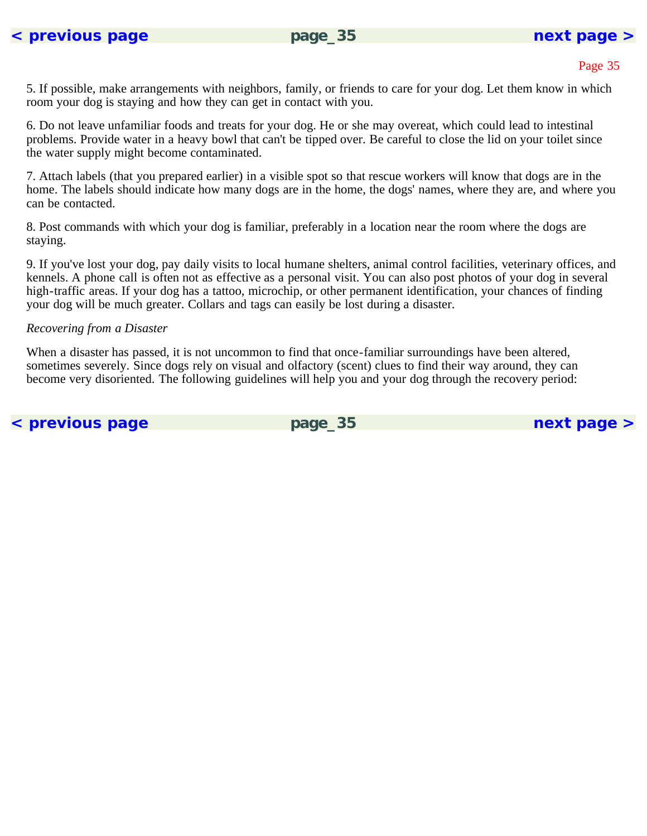<span id="page-38-0"></span>5. If possible, make arrangements with neighbors, family, or friends to care for your dog. Let them know in which room your dog is staying and how they can get in contact with you.

6. Do not leave unfamiliar foods and treats for your dog. He or she may overeat, which could lead to intestinal problems. Provide water in a heavy bowl that can't be tipped over. Be careful to close the lid on your toilet since the water supply might become contaminated.

7. Attach labels (that you prepared earlier) in a visible spot so that rescue workers will know that dogs are in the home. The labels should indicate how many dogs are in the home, the dogs' names, where they are, and where you can be contacted.

8. Post commands with which your dog is familiar, preferably in a location near the room where the dogs are staying.

9. If you've lost your dog, pay daily visits to local humane shelters, animal control facilities, veterinary offices, and kennels. A phone call is often not as effective as a personal visit. You can also post photos of your dog in several high-traffic areas. If your dog has a tattoo, microchip, or other permanent identification, your chances of finding your dog will be much greater. Collars and tags can easily be lost during a disaster.

*Recovering from a Disaster*

When a disaster has passed, it is not uncommon to find that once-familiar surroundings have been altered, sometimes severely. Since dogs rely on visual and olfactory (scent) clues to find their way around, they can become very disoriented. The following guidelines will help you and your dog through the recovery period:

**[< previous page](#page-37-0) page\_35 [next page >](#page-39-0)**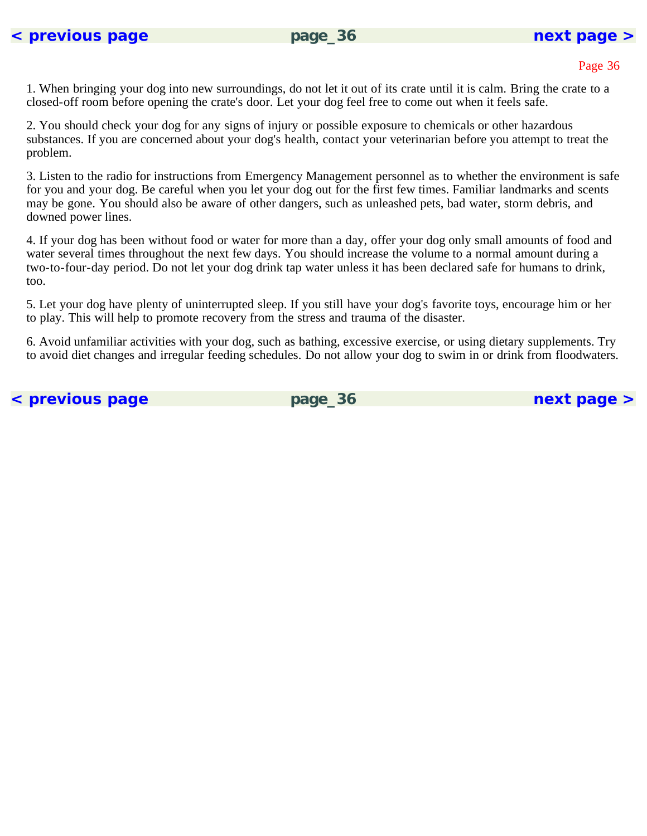<span id="page-39-0"></span>1. When bringing your dog into new surroundings, do not let it out of its crate until it is calm. Bring the crate to a closed-off room before opening the crate's door. Let your dog feel free to come out when it feels safe.

2. You should check your dog for any signs of injury or possible exposure to chemicals or other hazardous substances. If you are concerned about your dog's health, contact your veterinarian before you attempt to treat the problem.

3. Listen to the radio for instructions from Emergency Management personnel as to whether the environment is safe for you and your dog. Be careful when you let your dog out for the first few times. Familiar landmarks and scents may be gone. You should also be aware of other dangers, such as unleashed pets, bad water, storm debris, and downed power lines.

4. If your dog has been without food or water for more than a day, offer your dog only small amounts of food and water several times throughout the next few days. You should increase the volume to a normal amount during a two-to-four-day period. Do not let your dog drink tap water unless it has been declared safe for humans to drink, too.

5. Let your dog have plenty of uninterrupted sleep. If you still have your dog's favorite toys, encourage him or her to play. This will help to promote recovery from the stress and trauma of the disaster.

6. Avoid unfamiliar activities with your dog, such as bathing, excessive exercise, or using dietary supplements. Try to avoid diet changes and irregular feeding schedules. Do not allow your dog to swim in or drink from floodwaters.

**[< previous page](#page-38-0) page\_36 [next page >](#page-40-0)**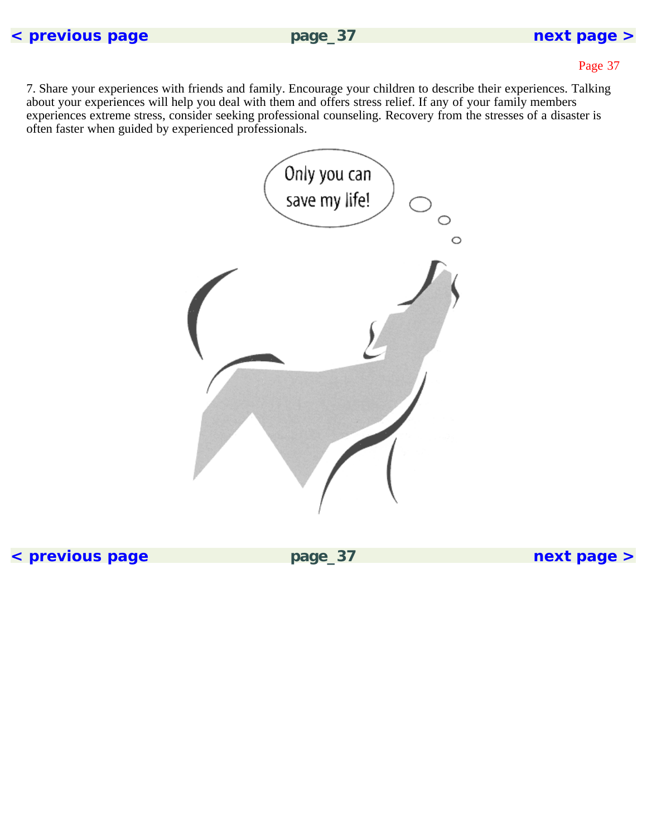<span id="page-40-0"></span>7. Share your experiences with friends and family. Encourage your children to describe their experiences. Talking about your experiences will help you deal with them and offers stress relief. If any of your family members experiences extreme stress, consider seeking professional counseling. Recovery from the stresses of a disaster is often faster when guided by experienced professionals.



**[< previous page](#page-39-0) page\_37 [next page >](#page-41-0)**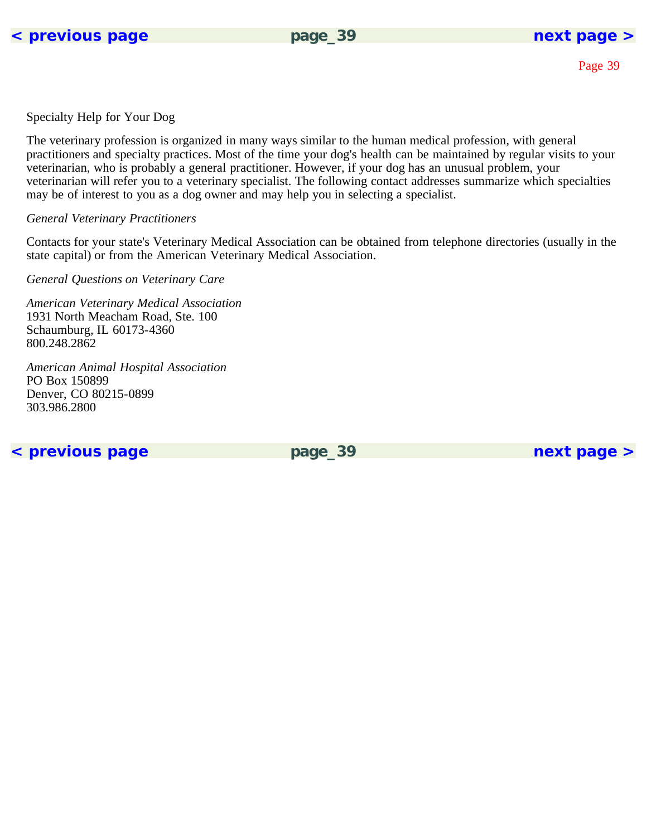<span id="page-41-0"></span>Specialty Help for Your Dog

The veterinary profession is organized in many ways similar to the human medical profession, with general practitioners and specialty practices. Most of the time your dog's health can be maintained by regular visits to your veterinarian, who is probably a general practitioner. However, if your dog has an unusual problem, your veterinarian will refer you to a veterinary specialist. The following contact addresses summarize which specialties may be of interest to you as a dog owner and may help you in selecting a specialist.

### *General Veterinary Practitioners*

Contacts for your state's Veterinary Medical Association can be obtained from telephone directories (usually in the state capital) or from the American Veterinary Medical Association.

*General Questions on Veterinary Care*

*American Veterinary Medical Association* 1931 North Meacham Road, Ste. 100 Schaumburg, IL 60173-4360 800.248.2862

*American Animal Hospital Association* PO Box 150899 Denver, CO 80215-0899 303.986.2800

**[< previous page](#page-40-0) page\_39 [next page >](#page-42-0)**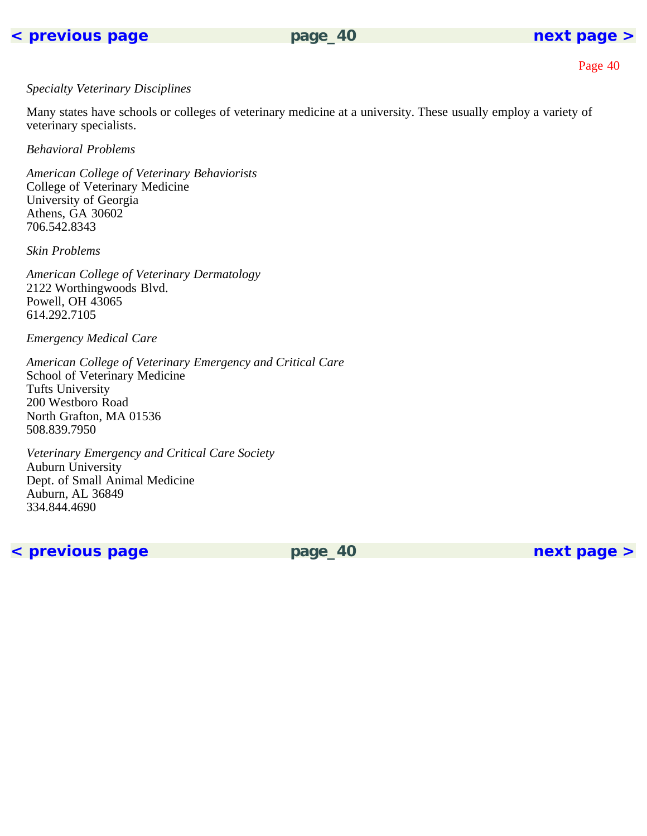### <span id="page-42-0"></span>**[< previous page](#page-41-0) page\_40 [next page >](#page-43-0)**

Page 40

### *Specialty Veterinary Disciplines*

Many states have schools or colleges of veterinary medicine at a university. These usually employ a variety of veterinary specialists.

*Behavioral Problems*

*American College of Veterinary Behaviorists* College of Veterinary Medicine University of Georgia Athens, GA 30602 706.542.8343

*Skin Problems*

*American College of Veterinary Dermatology* 2122 Worthingwoods Blvd. Powell, OH 43065 614.292.7105

*Emergency Medical Care*

*American College of Veterinary Emergency and Critical Care* School of Veterinary Medicine Tufts University 200 Westboro Road North Grafton, MA 01536 508.839.7950

*Veterinary Emergency and Critical Care Society* Auburn University Dept. of Small Animal Medicine Auburn, AL 36849 334.844.4690

**[< previous page](#page-41-0) page\_40 [next page >](#page-43-0)**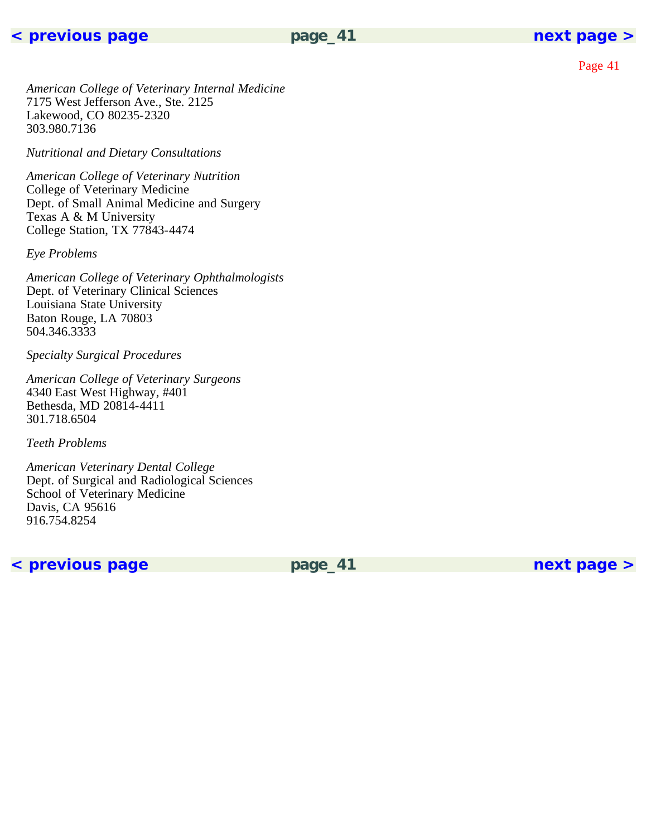### <span id="page-43-0"></span>**[< previous page](#page-42-0) page\_41 [next page >](#page-44-0)**

Page 41

*American College of Veterinary Internal Medicine* 7175 West Jefferson Ave., Ste. 2125 Lakewood, CO 80235-2320 303.980.7136

*Nutritional and Dietary Consultations*

*American College of Veterinary Nutrition* College of Veterinary Medicine Dept. of Small Animal Medicine and Surgery Texas A & M University College Station, TX 77843-4474

*Eye Problems*

*American College of Veterinary Ophthalmologists* Dept. of Veterinary Clinical Sciences Louisiana State University Baton Rouge, LA 70803 504.346.3333

*Specialty Surgical Procedures*

*American College of Veterinary Surgeons* 4340 East West Highway, #401 Bethesda, MD 20814-4411 301.718.6504

*Teeth Problems*

*American Veterinary Dental College* Dept. of Surgical and Radiological Sciences School of Veterinary Medicine Davis, CA 95616 916.754.8254

**[< previous page](#page-42-0) page\_41 [next page >](#page-44-0)**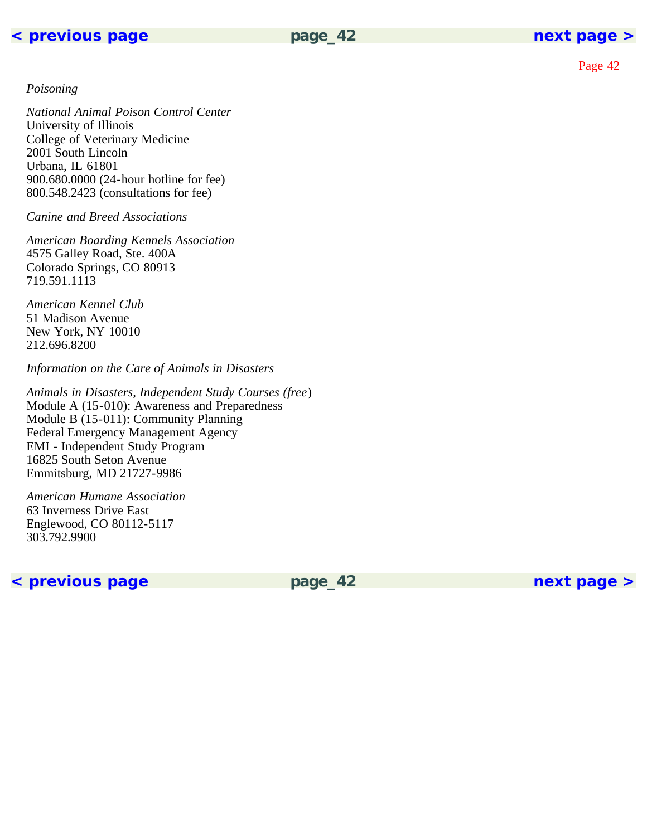### <span id="page-44-0"></span>**[< previous page](#page-43-0) page\_42 [next page >](#page-45-0)**

Page 42

### *Poisoning*

*National Animal Poison Control Center* University of Illinois College of Veterinary Medicine 2001 South Lincoln Urbana, IL 61801 900.680.0000 (24-hour hotline for fee) 800.548.2423 (consultations for fee)

*Canine and Breed Associations*

*American Boarding Kennels Association* 4575 Galley Road, Ste. 400A Colorado Springs, CO 80913 719.591.1113

*American Kennel Club* 51 Madison Avenue New York, NY 10010 212.696.8200

*Information on the Care of Animals in Disasters*

*Animals in Disasters, Independent Study Courses (free*) Module A (15-010): Awareness and Preparedness Module B (15-011): Community Planning Federal Emergency Management Agency EMI - Independent Study Program 16825 South Seton Avenue Emmitsburg, MD 21727-9986

*American Humane Association* 63 Inverness Drive East Englewood, CO 80112-5117 303.792.9900

**[< previous page](#page-43-0) page\_42 [next page >](#page-45-0)**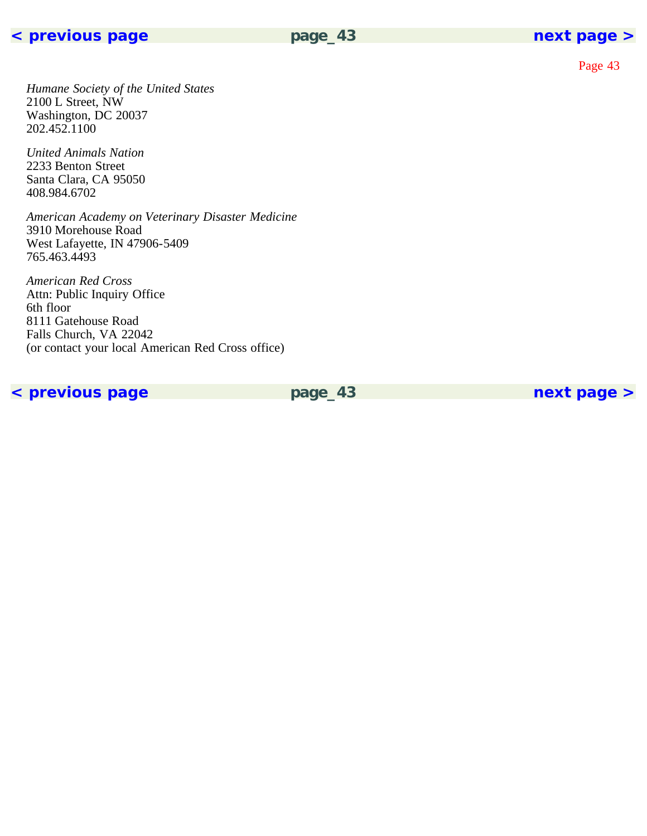### <span id="page-45-0"></span>**[< previous page](#page-44-0) page\_43 [next page >](#page-46-0)**

*Humane Society of the United States* 2100 L Street, NW Washington, DC 20037 202.452.1100

*United Animals Nation* 2233 Benton Street Santa Clara, CA 95050 408.984.6702

*American Academy on Veterinary Disaster Medicine* 3910 Morehouse Road West Lafayette, IN 47906-5409 765.463.4493

*American Red Cross* Attn: Public Inquiry Office 6th floor 8111 Gatehouse Road Falls Church, VA 22042 (or contact your local American Red Cross office)

**[< previous page](#page-44-0) page\_43 [next page >](#page-46-0)**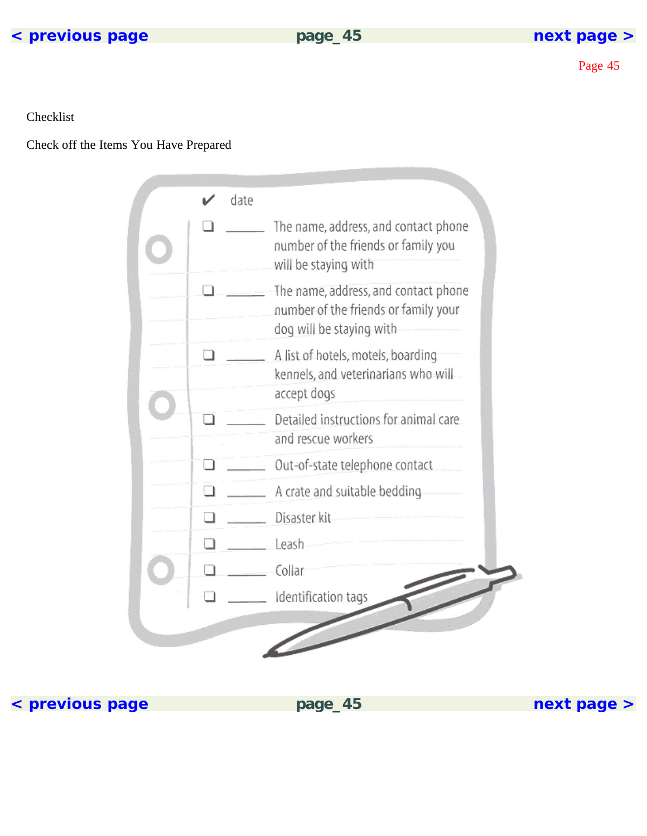<span id="page-46-0"></span>**[< previous page](#page-45-0) page\_45 [next page >](#page-47-0)**

Page 45

Checklist

Check off the Items You Have Prepared

|  | date |                                                                                                          |
|--|------|----------------------------------------------------------------------------------------------------------|
|  |      | The name, address, and contact phone<br>number of the friends or family you<br>will be staying with      |
|  |      | The name, address, and contact phone<br>number of the friends or family your<br>dog will be staying with |
|  |      | A list of hotels, motels, boarding<br>kennels, and veterinarians who will<br>accept dogs                 |
|  |      | Detailed instructions for animal care<br>and rescue workers                                              |
|  |      | Out-of-state telephone contact                                                                           |
|  |      | A crate and suitable bedding                                                                             |
|  |      | Disaster kit                                                                                             |
|  |      | Leash                                                                                                    |
|  |      | Collar                                                                                                   |
|  |      | Identification tags                                                                                      |

**[< previous page](#page-45-0) page\_45 [next page >](#page-47-0)**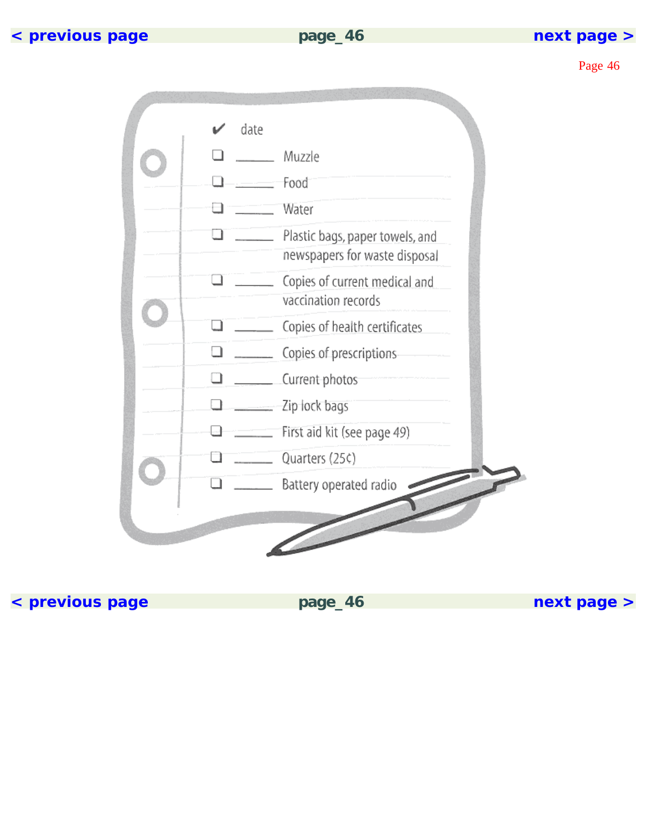Page 46

<span id="page-47-0"></span>

**[< previous page](#page-46-0) page\_46 [next page >](#page-48-0)**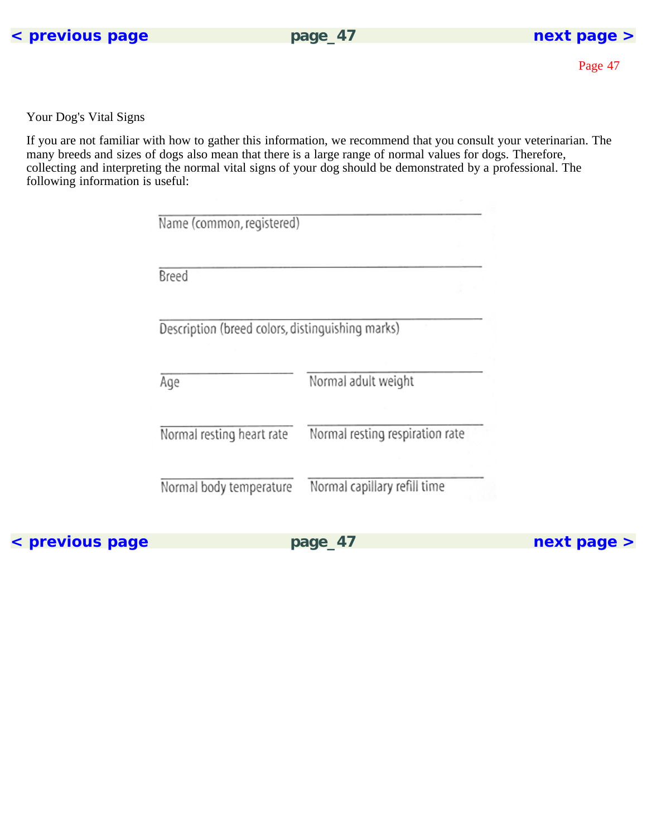<span id="page-48-0"></span>Your Dog's Vital Signs

If you are not familiar with how to gather this information, we recommend that you consult your veterinarian. The many breeds and sizes of dogs also mean that there is a large range of normal values for dogs. Therefore, collecting and interpreting the normal vital signs of your dog should be demonstrated by a professional. The following information is useful:

| Description (breed colors, distinguishing marks) |
|--------------------------------------------------|
| Normal adult weight                              |
| Normal resting respiration rate                  |
| Normal capillary refill time                     |
|                                                  |

**[< previous page](#page-47-0) page\_47 [next page >](#page-49-0)**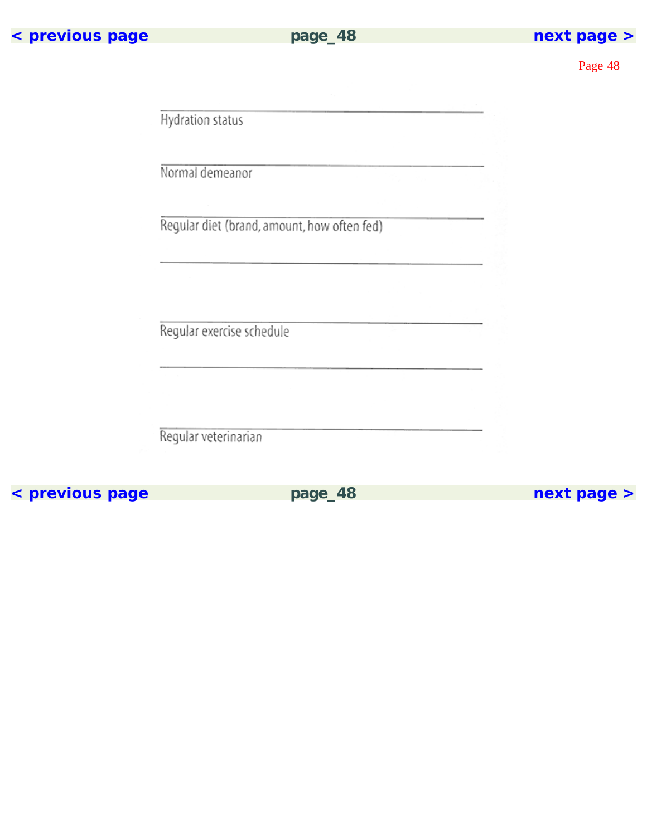<span id="page-49-0"></span>Hydration status

Normal demeanor

Regular diet (brand, amount, how often fed)

Regular exercise schedule

Regular veterinarian

**[< previous page](#page-48-0) page\_48 [next page >](#page-50-0)**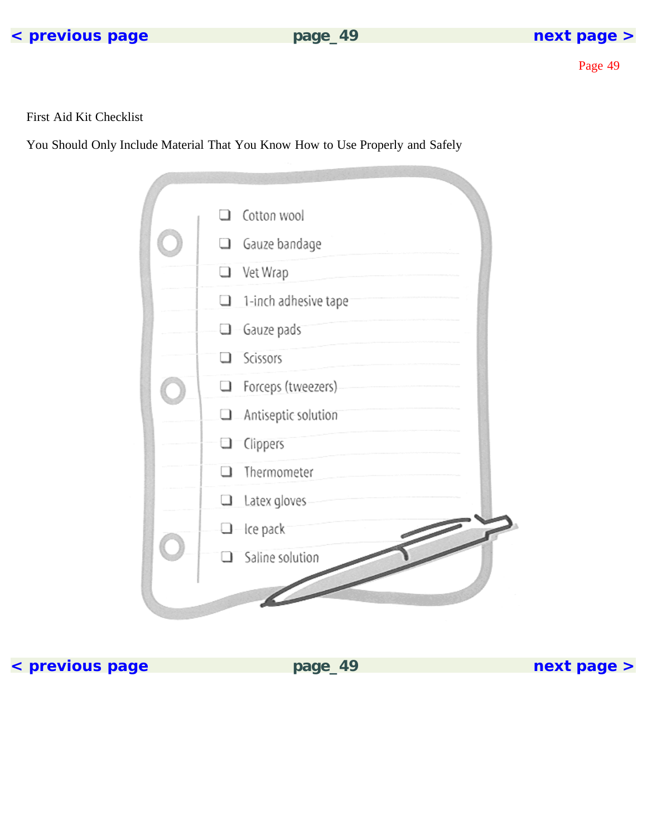<span id="page-50-0"></span>**[< previous page](#page-49-0) page\_49 [next page >](#page-51-0)**



First Aid Kit Checklist

You Should Only Include Material That You Know How to Use Properly and Safely

| Cotton wool<br>┒                        |
|-----------------------------------------|
| Gauze bandage<br>┘                      |
| Vet Wrap                                |
| 1-inch adhesive tape<br>$\Box$          |
| -Gauze pads<br>$\overline{\phantom{a}}$ |
| Scissors<br>$\Box$                      |
| Forceps (tweezers)<br>❏                 |
| Antiseptic solution<br>$\Box$           |
| Clippers                                |
| Thermometer                             |
| Latex gloves                            |
| -lce pack<br>❏                          |
| Saline solution                         |
|                                         |

**[< previous page](#page-49-0) page\_49 [next page >](#page-51-0)**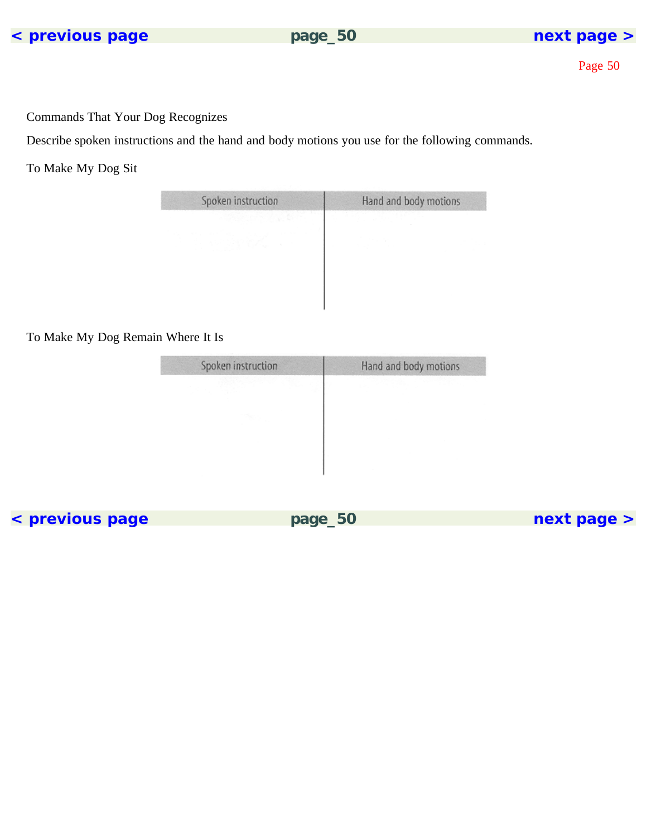# <span id="page-51-0"></span>**[< previous page](#page-50-0) page\_50 [next page >](#page-52-0)**

Commands That Your Dog Recognizes

Describe spoken instructions and the hand and body motions you use for the following commands.

To Make My Dog Sit

| Spoken instruction | Hand and body motions |  |
|--------------------|-----------------------|--|
|                    |                       |  |
|                    |                       |  |

To Make My Dog Remain Where It Is

| Spoken instruction | Hand and body motions |
|--------------------|-----------------------|
|                    |                       |
|                    |                       |
|                    |                       |
|                    |                       |

| <b>&lt; previous page</b> | page_50 | $next$ page $>$ |
|---------------------------|---------|-----------------|
|---------------------------|---------|-----------------|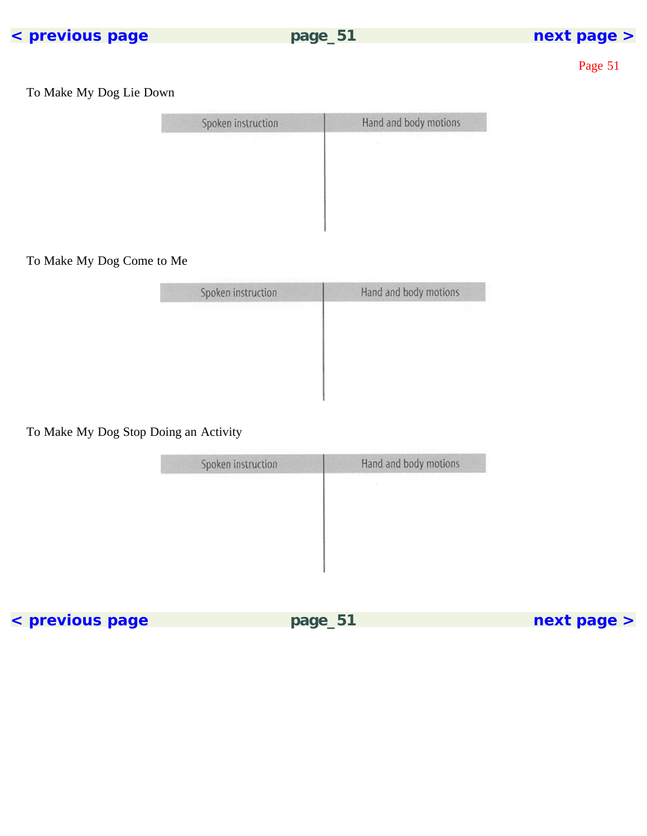# <span id="page-52-0"></span>**[< previous page](#page-51-0) page\_51 [next page >](#page-53-0)**

Page 51

### To Make My Dog Lie Down

| Spoken instruction | Hand and body motions |
|--------------------|-----------------------|
|                    |                       |
|                    |                       |
|                    |                       |
|                    |                       |
|                    |                       |
|                    |                       |
|                    |                       |

### To Make My Dog Come to Me

| Spoken instruction | Hand and body motions |
|--------------------|-----------------------|
|                    |                       |
|                    |                       |
|                    |                       |
|                    |                       |
|                    |                       |

To Make My Dog Stop Doing an Activity

B

| Spoken instruction | Hand and body motions |
|--------------------|-----------------------|
|                    |                       |
|                    |                       |
|                    |                       |
|                    |                       |
|                    |                       |

**[< previous page](#page-51-0) page\_51 [next page >](#page-53-0)**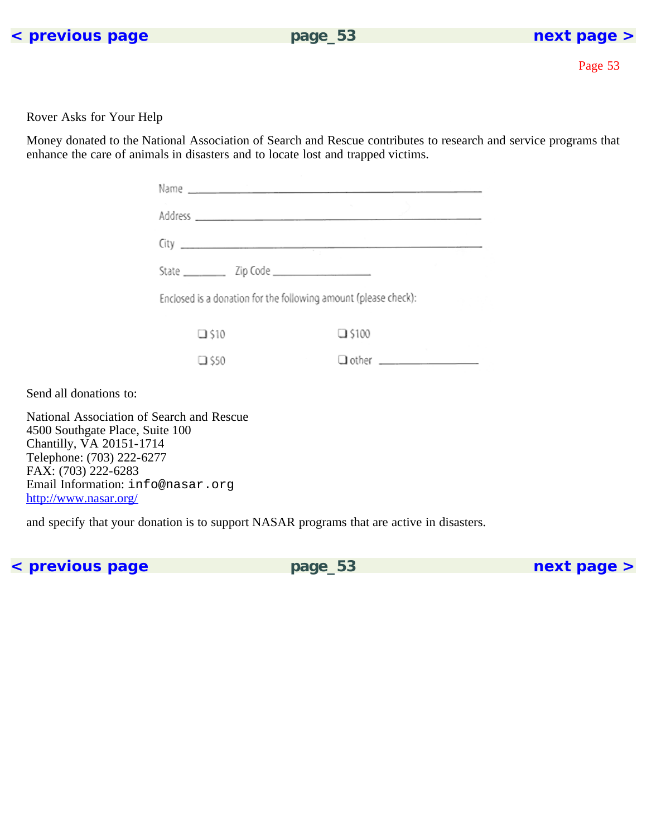<span id="page-53-0"></span>**[< previous page](#page-52-0) page\_53 [next page >](#page-54-0)**

Rover Asks for Your Help

Money donated to the National Association of Search and Rescue contributes to research and service programs that enhance the care of animals in disasters and to locate lost and trapped victims.

|                                                                                                                                                              | Enclosed is a donation for the following amount (please check): |                 |  |
|--------------------------------------------------------------------------------------------------------------------------------------------------------------|-----------------------------------------------------------------|-----------------|--|
|                                                                                                                                                              | $\square$ \$10                                                  | $\square$ \$100 |  |
|                                                                                                                                                              | $\square$ \$50                                                  |                 |  |
| Send all donations to:                                                                                                                                       |                                                                 |                 |  |
| National Association of Search and Rescue<br>4500 Southgate Place, Suite 100<br>Chantilly, VA 20151-1714<br>Telephone: (703) 222-6277<br>FAX: (703) 222-6283 |                                                                 |                 |  |
| Email Information: info@nasar.org                                                                                                                            |                                                                 |                 |  |

and specify that your donation is to support NASAR programs that are active in disasters.

**[< previous page](#page-52-0) page\_53 [next page >](#page-54-0)**

http://www.nasar.org/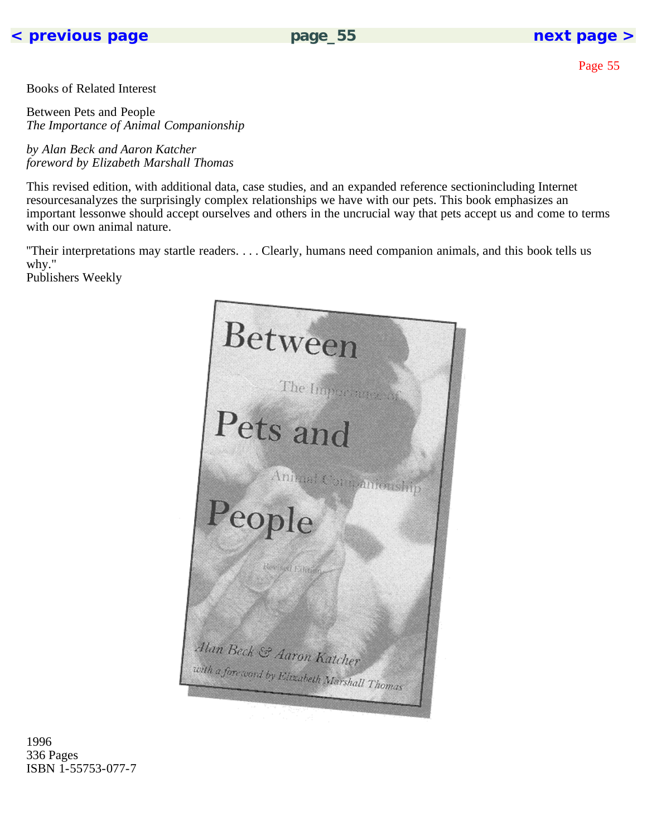### <span id="page-54-0"></span>**[< previous page](#page-53-0) page\_55 [next page >](#page-56-0)**

Page 55

Books of Related Interest

Between Pets and People *The Importance of Animal Companionship*

*by Alan Beck and Aaron Katcher foreword by Elizabeth Marshall Thomas*

This revised edition, with additional data, case studies, and an expanded reference sectionincluding Internet resourcesanalyzes the surprisingly complex relationships we have with our pets. This book emphasizes an important lessonwe should accept ourselves and others in the uncrucial way that pets accept us and come to terms with our own animal nature.

''Their interpretations may startle readers. . . . Clearly, humans need companion animals, and this book tells us why." Publishers Weekly

> Between The Unpercance of Pets and Aftered Companionship People Rowleyd Edition Alan Beck & Aaron Katcher with a foreword by Elizabeth Marshall Thomas

1996 336 Pages ISBN 1-55753-077-7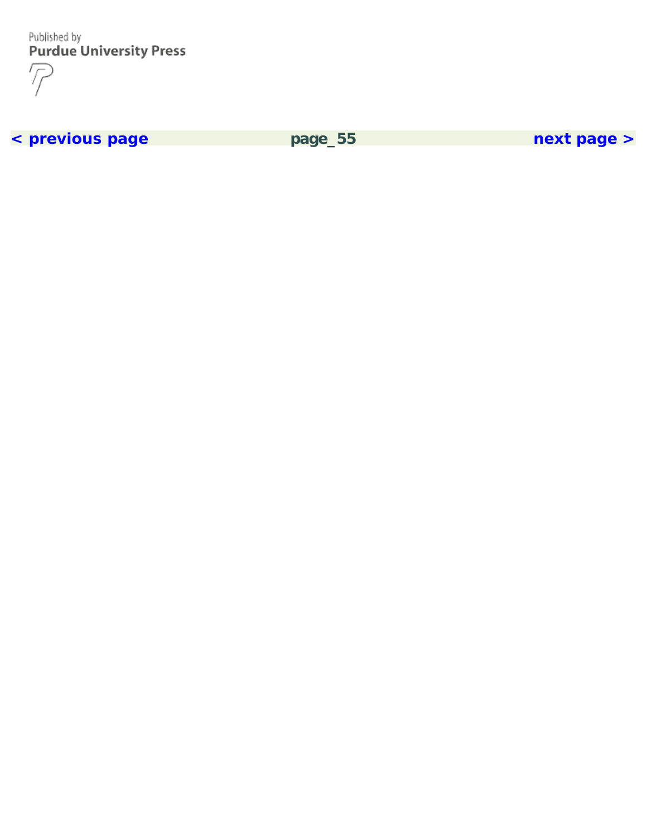Published by<br>**Purdue University Press** 



**[< previous page](#page-53-0) page\_55 [next page >](#page-56-0)**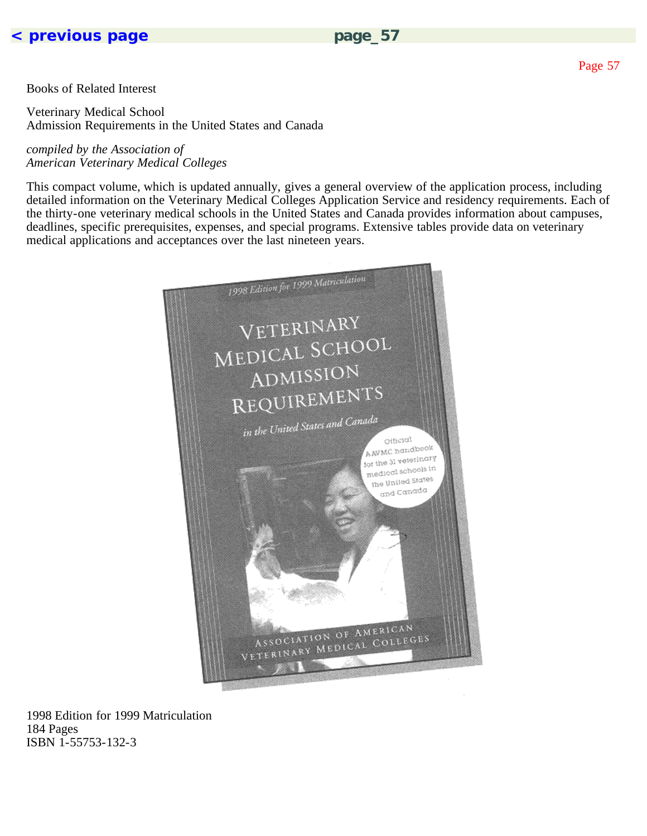## <span id="page-56-0"></span>**[< previous page](#page-54-0) page\_57**

Books of Related Interest

Veterinary Medical School Admission Requirements in the United States and Canada

*compiled by the Association of American Veterinary Medical Colleges*

This compact volume, which is updated annually, gives a general overview of the application process, including detailed information on the Veterinary Medical Colleges Application Service and residency requirements. Each of the thirty-one veterinary medical schools in the United States and Canada provides information about campuses, deadlines, specific prerequisites, expenses, and special programs. Extensive tables provide data on veterinary medical applications and acceptances over the last nineteen years.



1998 Edition for 1999 Matriculation 184 Pages ISBN 1-55753-132-3

Page 57